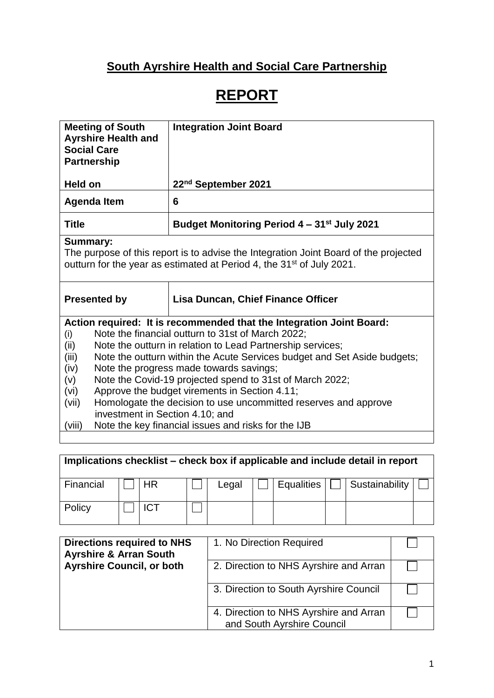## **South Ayrshire Health and Social Care Partnership**

# **REPORT**

| <b>Meeting of South</b><br><b>Ayrshire Health and</b><br><b>Social Care</b><br><b>Partnership</b>                                                                                            | <b>Integration Joint Board</b>                                                                                                         |  |  |  |  |
|----------------------------------------------------------------------------------------------------------------------------------------------------------------------------------------------|----------------------------------------------------------------------------------------------------------------------------------------|--|--|--|--|
| Held on                                                                                                                                                                                      | 22 <sup>nd</sup> September 2021                                                                                                        |  |  |  |  |
| <b>Agenda Item</b>                                                                                                                                                                           | 6                                                                                                                                      |  |  |  |  |
| <b>Title</b>                                                                                                                                                                                 | Budget Monitoring Period 4 – 31 <sup>st</sup> July 2021                                                                                |  |  |  |  |
| <b>Summary:</b><br>The purpose of this report is to advise the Integration Joint Board of the projected<br>outturn for the year as estimated at Period 4, the 31 <sup>st</sup> of July 2021. |                                                                                                                                        |  |  |  |  |
| <b>Presented by</b>                                                                                                                                                                          | <b>Lisa Duncan, Chief Finance Officer</b>                                                                                              |  |  |  |  |
|                                                                                                                                                                                              | Action required: It is recommended that the Integration Joint Board:                                                                   |  |  |  |  |
| (i)                                                                                                                                                                                          | Note the financial outturn to 31st of March 2022;                                                                                      |  |  |  |  |
| (ii)<br>(iii)                                                                                                                                                                                | Note the outturn in relation to Lead Partnership services;<br>Note the outturn within the Acute Services budget and Set Aside budgets; |  |  |  |  |
| (iv)                                                                                                                                                                                         |                                                                                                                                        |  |  |  |  |
| Note the progress made towards savings;<br>Note the Covid-19 projected spend to 31st of March 2022;<br>(v)                                                                                   |                                                                                                                                        |  |  |  |  |
| Approve the budget virements in Section 4.11;<br>(vi)                                                                                                                                        |                                                                                                                                        |  |  |  |  |
| Homologate the decision to use uncommitted reserves and approve<br>(vii)                                                                                                                     |                                                                                                                                        |  |  |  |  |
| investment in Section 4.10; and                                                                                                                                                              |                                                                                                                                        |  |  |  |  |
| (viii)                                                                                                                                                                                       | Note the key financial issues and risks for the IJB                                                                                    |  |  |  |  |
|                                                                                                                                                                                              |                                                                                                                                        |  |  |  |  |

| Implications checklist – check box if applicable and include detail in report |  |            |  |       |  |            |  |                |  |
|-------------------------------------------------------------------------------|--|------------|--|-------|--|------------|--|----------------|--|
| Financial                                                                     |  | НR         |  | Legal |  | Equalities |  | Sustainability |  |
| Policy                                                                        |  | <b>ICT</b> |  |       |  |            |  |                |  |

| <b>Directions required to NHS</b><br><b>Ayrshire &amp; Arran South</b> | 1. No Direction Required                                             |  |
|------------------------------------------------------------------------|----------------------------------------------------------------------|--|
| <b>Ayrshire Council, or both</b>                                       | 2. Direction to NHS Ayrshire and Arran                               |  |
|                                                                        | 3. Direction to South Ayrshire Council                               |  |
|                                                                        | 4. Direction to NHS Ayrshire and Arran<br>and South Ayrshire Council |  |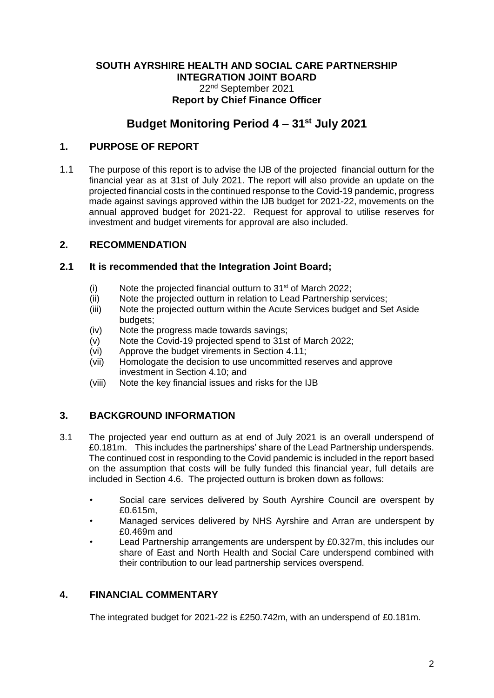#### **SOUTH AYRSHIRE HEALTH AND SOCIAL CARE PARTNERSHIP INTEGRATION JOINT BOARD** 22nd September 2021 **Report by Chief Finance Officer**

## **Budget Monitoring Period 4 – 31st July 2021**

## **1. PURPOSE OF REPORT**

1.1 The purpose of this report is to advise the IJB of the projected financial outturn for the financial year as at 31st of July 2021. The report will also provide an update on the projected financial costs in the continued response to the Covid-19 pandemic, progress made against savings approved within the IJB budget for 2021-22, movements on the annual approved budget for 2021-22. Request for approval to utilise reserves for investment and budget virements for approval are also included.

## **2. RECOMMENDATION**

## **2.1 It is recommended that the Integration Joint Board;**

- (i) Note the projected financial outturn to  $31<sup>st</sup>$  of March 2022;
- (ii) Note the projected outturn in relation to Lead Partnership services;
- (iii) Note the projected outturn within the Acute Services budget and Set Aside budgets;
- (iv) Note the progress made towards savings;
- (v) Note the Covid-19 projected spend to 31st of March 2022;
- (vi) Approve the budget virements in Section 4.11;
- (vii) Homologate the decision to use uncommitted reserves and approve investment in Section 4.10; and
- (viii) Note the key financial issues and risks for the IJB

## **3. BACKGROUND INFORMATION**

- 3.1 The projected year end outturn as at end of July 2021 is an overall underspend of £0.181m. This includes the partnerships' share of the Lead Partnership underspends. The continued cost in responding to the Covid pandemic is included in the report based on the assumption that costs will be fully funded this financial year, full details are included in Section 4.6. The projected outturn is broken down as follows:
	- Social care services delivered by South Ayrshire Council are overspent by £0.615m,
	- Managed services delivered by NHS Ayrshire and Arran are underspent by £0.469m and
	- Lead Partnership arrangements are underspent by £0.327m, this includes our share of East and North Health and Social Care underspend combined with their contribution to our lead partnership services overspend.

## **4. FINANCIAL COMMENTARY**

The integrated budget for 2021-22 is £250.742m, with an underspend of £0.181m.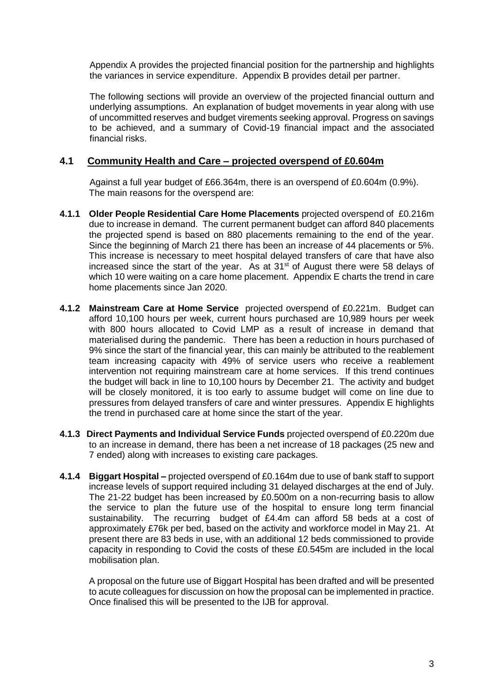Appendix A provides the projected financial position for the partnership and highlights the variances in service expenditure. Appendix B provides detail per partner.

The following sections will provide an overview of the projected financial outturn and underlying assumptions. An explanation of budget movements in year along with use of uncommitted reserves and budget virements seeking approval. Progress on savings to be achieved, and a summary of Covid-19 financial impact and the associated financial risks.

#### **4.1 Community Health and Care – projected overspend of £0.604m**

Against a full year budget of £66.364m, there is an overspend of £0.604m (0.9%). The main reasons for the overspend are:

- **4.1.1 Older People Residential Care Home Placements** projected overspend of £0.216m due to increase in demand. The current permanent budget can afford 840 placements the projected spend is based on 880 placements remaining to the end of the year. Since the beginning of March 21 there has been an increase of 44 placements or 5%. This increase is necessary to meet hospital delayed transfers of care that have also increased since the start of the year. As at  $31<sup>st</sup>$  of August there were 58 delays of which 10 were waiting on a care home placement. Appendix E charts the trend in care home placements since Jan 2020.
- **4.1.2 Mainstream Care at Home Service** projected overspend of £0.221m. Budget can afford 10,100 hours per week, current hours purchased are 10,989 hours per week with 800 hours allocated to Covid LMP as a result of increase in demand that materialised during the pandemic. There has been a reduction in hours purchased of 9% since the start of the financial year, this can mainly be attributed to the reablement team increasing capacity with 49% of service users who receive a reablement intervention not requiring mainstream care at home services. If this trend continues the budget will back in line to 10,100 hours by December 21. The activity and budget will be closely monitored, it is too early to assume budget will come on line due to pressures from delayed transfers of care and winter pressures. Appendix E highlights the trend in purchased care at home since the start of the year.
- **4.1.3 Direct Payments and Individual Service Funds** projected overspend of £0.220m due to an increase in demand, there has been a net increase of 18 packages (25 new and 7 ended) along with increases to existing care packages.
- **4.1.4 Biggart Hospital –** projected overspend of £0.164m due to use of bank staff to support increase levels of support required including 31 delayed discharges at the end of July. The 21-22 budget has been increased by £0.500m on a non-recurring basis to allow the service to plan the future use of the hospital to ensure long term financial sustainability. The recurring budget of £4.4m can afford 58 beds at a cost of approximately £76k per bed, based on the activity and workforce model in May 21. At present there are 83 beds in use, with an additional 12 beds commissioned to provide capacity in responding to Covid the costs of these £0.545m are included in the local mobilisation plan.

A proposal on the future use of Biggart Hospital has been drafted and will be presented to acute colleagues for discussion on how the proposal can be implemented in practice. Once finalised this will be presented to the IJB for approval.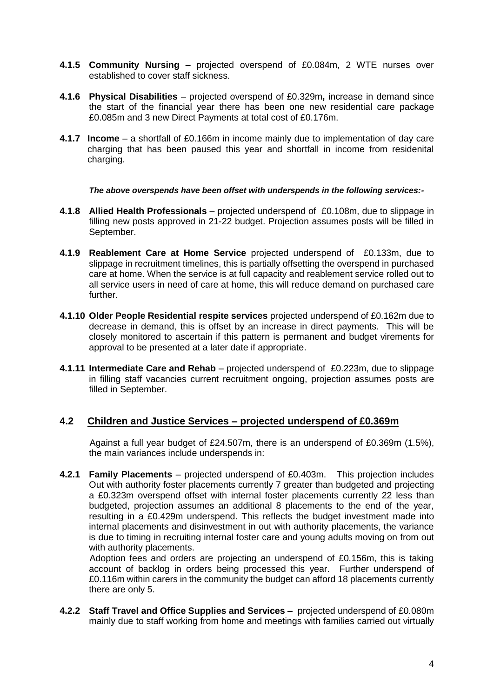- **4.1.5 Community Nursing –** projected overspend of £0.084m, 2 WTE nurses over established to cover staff sickness.
- **4.1.6 Physical Disabilities** projected overspend of £0.329m**,** increase in demand since the start of the financial year there has been one new residential care package £0.085m and 3 new Direct Payments at total cost of £0.176m.
- **4.1.7 Income** a shortfall of £0.166m in income mainly due to implementation of day care charging that has been paused this year and shortfall in income from residenital charging.

*The above overspends have been offset with underspends in the following services:-*

- **4.1.8 Allied Health Professionals** projected underspend of £0.108m, due to slippage in filling new posts approved in 21-22 budget. Projection assumes posts will be filled in September.
- **4.1.9 Reablement Care at Home Service** projected underspend of £0.133m, due to slippage in recruitment timelines, this is partially offsetting the overspend in purchased care at home. When the service is at full capacity and reablement service rolled out to all service users in need of care at home, this will reduce demand on purchased care further.
- **4.1.10 Older People Residential respite services** projected underspend of £0.162m due to decrease in demand, this is offset by an increase in direct payments. This will be closely monitored to ascertain if this pattern is permanent and budget virements for approval to be presented at a later date if appropriate.
- **4.1.11 Intermediate Care and Rehab** projected underspend of £0.223m, due to slippage in filling staff vacancies current recruitment ongoing, projection assumes posts are filled in September.

#### **4.2 Children and Justice Services – projected underspend of £0.369m**

Against a full year budget of £24.507m, there is an underspend of £0.369m (1.5%), the main variances include underspends in:

**4.2.1 Family Placements** – projected underspend of £0.403m. This projection includes Out with authority foster placements currently 7 greater than budgeted and projecting a £0.323m overspend offset with internal foster placements currently 22 less than budgeted, projection assumes an additional 8 placements to the end of the year, resulting in a £0.429m underspend. This reflects the budget investment made into internal placements and disinvestment in out with authority placements, the variance is due to timing in recruiting internal foster care and young adults moving on from out with authority placements.

Adoption fees and orders are projecting an underspend of £0.156m, this is taking account of backlog in orders being processed this year. Further underspend of £0.116m within carers in the community the budget can afford 18 placements currently there are only 5.

**4.2.2 Staff Travel and Office Supplies and Services –** projected underspend of £0.080m mainly due to staff working from home and meetings with families carried out virtually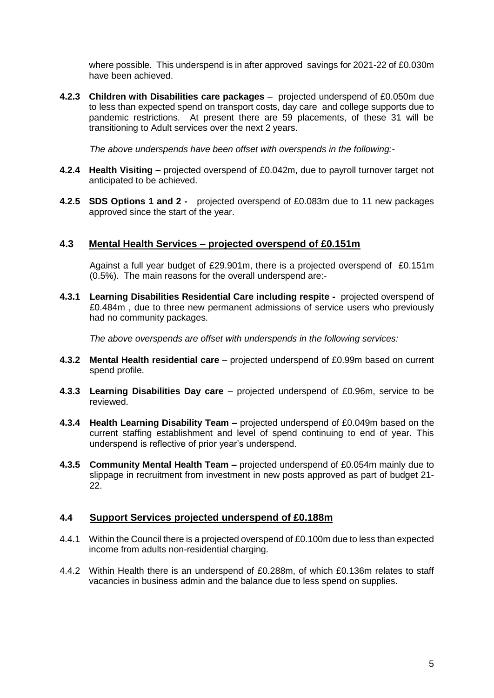where possible. This underspend is in after approved savings for 2021-22 of £0.030m have been achieved.

**4.2.3 Children with Disabilities care packages** – projected underspend of £0.050m due to less than expected spend on transport costs, day care and college supports due to pandemic restrictions. At present there are 59 placements, of these 31 will be transitioning to Adult services over the next 2 years.

*The above underspends have been offset with overspends in the following:-*

- **4.2.4 Health Visiting –** projected overspend of £0.042m, due to payroll turnover target not anticipated to be achieved.
- **4.2.5 SDS Options 1 and 2** projected overspend of £0.083m due to 11 new packages approved since the start of the year.

#### **4.3 Mental Health Services – projected overspend of £0.151m**

Against a full year budget of £29.901m, there is a projected overspend of £0.151m (0.5%). The main reasons for the overall underspend are:-

**4.3.1 Learning Disabilities Residential Care including respite -** projected overspend of £0.484m , due to three new permanent admissions of service users who previously had no community packages.

*The above overspends are offset with underspends in the following services:*

- **4.3.2 Mental Health residential care** projected underspend of £0.99m based on current spend profile.
- **4.3.3 Learning Disabilities Day care** projected underspend of £0.96m, service to be reviewed.
- **4.3.4 Health Learning Disability Team –** projected underspend of £0.049m based on the current staffing establishment and level of spend continuing to end of year. This underspend is reflective of prior year's underspend.
- **4.3.5 Community Mental Health Team –** projected underspend of £0.054m mainly due to slippage in recruitment from investment in new posts approved as part of budget 21- 22.

#### **4.4 Support Services projected underspend of £0.188m**

- 4.4.1 Within the Council there is a projected overspend of £0.100m due to less than expected income from adults non-residential charging.
- 4.4.2 Within Health there is an underspend of £0.288m, of which £0.136m relates to staff vacancies in business admin and the balance due to less spend on supplies.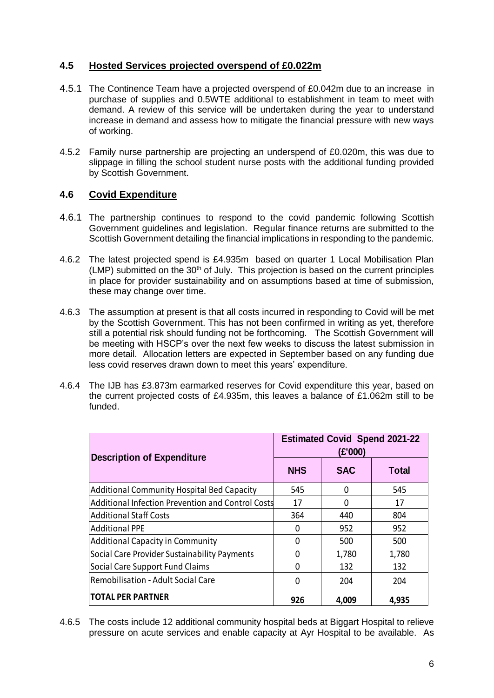## **4.5 Hosted Services projected overspend of £0.022m**

- 4.5.1 The Continence Team have a projected overspend of £0.042m due to an increase in purchase of supplies and 0.5WTE additional to establishment in team to meet with demand. A review of this service will be undertaken during the year to understand increase in demand and assess how to mitigate the financial pressure with new ways of working.
- 4.5.2 Family nurse partnership are projecting an underspend of £0.020m, this was due to slippage in filling the school student nurse posts with the additional funding provided by Scottish Government.

## **4.6 Covid Expenditure**

- 4.6.1 The partnership continues to respond to the covid pandemic following Scottish Government guidelines and legislation. Regular finance returns are submitted to the Scottish Government detailing the financial implications in responding to the pandemic.
- 4.6.2 The latest projected spend is £4.935m based on quarter 1 Local Mobilisation Plan  $(LMP)$  submitted on the 30<sup>th</sup> of July. This projection is based on the current principles in place for provider sustainability and on assumptions based at time of submission, these may change over time.
- 4.6.3 The assumption at present is that all costs incurred in responding to Covid will be met by the Scottish Government. This has not been confirmed in writing as yet, therefore still a potential risk should funding not be forthcoming. The Scottish Government will be meeting with HSCP's over the next few weeks to discuss the latest submission in more detail. Allocation letters are expected in September based on any funding due less covid reserves drawn down to meet this years' expenditure.
- 4.6.4 The IJB has £3.873m earmarked reserves for Covid expenditure this year, based on the current projected costs of £4.935m, this leaves a balance of £1.062m still to be funded.

| <b>Description of Expenditure</b>                 | <b>Estimated Covid Spend 2021-22</b><br>(£'000) |            |              |  |  |
|---------------------------------------------------|-------------------------------------------------|------------|--------------|--|--|
|                                                   | <b>NHS</b>                                      | <b>SAC</b> | <b>Total</b> |  |  |
| <b>Additional Community Hospital Bed Capacity</b> | 545                                             | 0          | 545          |  |  |
| Additional Infection Prevention and Control Costs | 17                                              | 0          | 17           |  |  |
| <b>Additional Staff Costs</b>                     | 364                                             | 440        | 804          |  |  |
| <b>Additional PPE</b>                             | 0                                               | 952        | 952          |  |  |
| <b>Additional Capacity in Community</b>           | 0                                               | 500        | 500          |  |  |
| Social Care Provider Sustainability Payments      | 0                                               | 1,780      | 1,780        |  |  |
| Social Care Support Fund Claims                   | 0                                               | 132        | 132          |  |  |
| Remobilisation - Adult Social Care                | 0                                               | 204        | 204          |  |  |
| <b>TOTAL PER PARTNER</b>                          | 926                                             | 4,009      | 4,935        |  |  |

4.6.5 The costs include 12 additional community hospital beds at Biggart Hospital to relieve pressure on acute services and enable capacity at Ayr Hospital to be available. As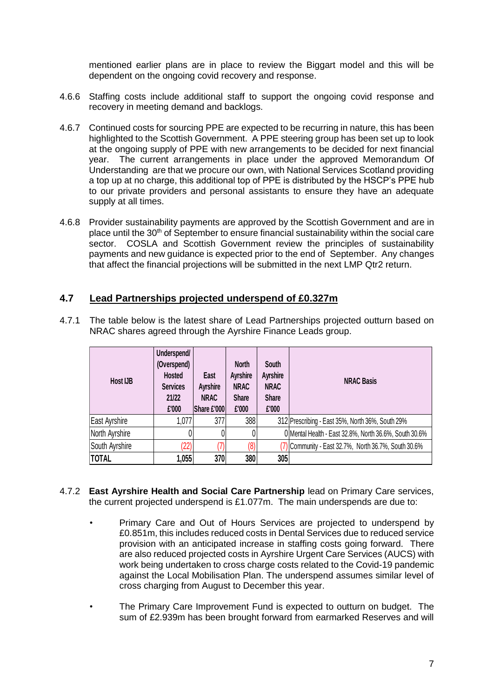mentioned earlier plans are in place to review the Biggart model and this will be dependent on the ongoing covid recovery and response.

- 4.6.6 Staffing costs include additional staff to support the ongoing covid response and recovery in meeting demand and backlogs.
- 4.6.7 Continued costs for sourcing PPE are expected to be recurring in nature, this has been highlighted to the Scottish Government. A PPE steering group has been set up to look at the ongoing supply of PPE with new arrangements to be decided for next financial year. The current arrangements in place under the approved Memorandum Of Understanding are that we procure our own, with National Services Scotland providing a top up at no charge, this additional top of PPE is distributed by the HSCP's PPE hub to our private providers and personal assistants to ensure they have an adequate supply at all times.
- 4.6.8 Provider sustainability payments are approved by the Scottish Government and are in place until the  $30<sup>th</sup>$  of September to ensure financial sustainability within the social care sector. COSLA and Scottish Government review the principles of sustainability payments and new guidance is expected prior to the end of September. Any changes that affect the financial projections will be submitted in the next LMP Qtr2 return.

#### **4.7 Lead Partnerships projected underspend of £0.327m**

| <b>Host IJB</b> | Underspend/<br>(Overspend)<br><b>Hosted</b><br><b>Services</b><br>21/22<br>£'000 | <b>East</b><br><b>Ayrshire</b><br><b>NRAC</b><br>Share £'000 | <b>North</b><br><b>Ayrshire</b><br><b>NRAC</b><br><b>Share</b><br>£'000 | South<br>Ayrshire<br><b>NRAC</b><br><b>Share</b><br>£'000 | <b>NRAC Basis</b>                                      |
|-----------------|----------------------------------------------------------------------------------|--------------------------------------------------------------|-------------------------------------------------------------------------|-----------------------------------------------------------|--------------------------------------------------------|
| East Ayrshire   | 1,077                                                                            | 377                                                          | 388                                                                     |                                                           | 312 Prescribing - East 35%, North 36%, South 29%       |
| North Ayrshire  | 0                                                                                |                                                              | 0                                                                       |                                                           | 0 Mental Health - East 32.8%, North 36.6%, South 30.6% |
| South Ayrshire  | '22)                                                                             |                                                              | (8)                                                                     |                                                           | Community - East 32.7%, North 36.7%, South 30.6%       |
| <b>TOTAL</b>    | 1,055                                                                            | 370                                                          | 380                                                                     | 305                                                       |                                                        |

4.7.1 The table below is the latest share of Lead Partnerships projected outturn based on NRAC shares agreed through the Ayrshire Finance Leads group.

- 4.7.2 **East Ayrshire Health and Social Care Partnership** lead on Primary Care services, the current projected underspend is £1.077m. The main underspends are due to:
	- Primary Care and Out of Hours Services are projected to underspend by £0.851m, this includes reduced costs in Dental Services due to reduced service provision with an anticipated increase in staffing costs going forward. There are also reduced projected costs in Ayrshire Urgent Care Services (AUCS) with work being undertaken to cross charge costs related to the Covid-19 pandemic against the Local Mobilisation Plan. The underspend assumes similar level of cross charging from August to December this year.
	- The Primary Care Improvement Fund is expected to outturn on budget. The sum of £2.939m has been brought forward from earmarked Reserves and will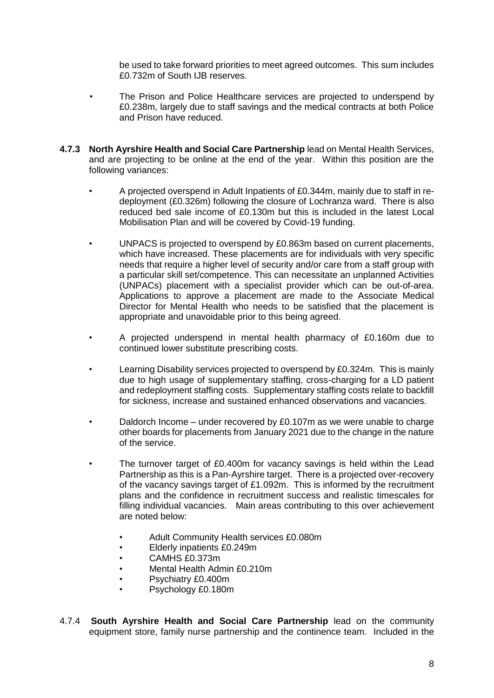be used to take forward priorities to meet agreed outcomes. This sum includes £0.732m of South IJB reserves.

- The Prison and Police Healthcare services are projected to underspend by £0.238m, largely due to staff savings and the medical contracts at both Police and Prison have reduced.
- **4.7.3 North Ayrshire Health and Social Care Partnership** lead on Mental Health Services, and are projecting to be online at the end of the year. Within this position are the following variances:
	- A projected overspend in Adult Inpatients of £0.344m, mainly due to staff in redeployment (£0.326m) following the closure of Lochranza ward. There is also reduced bed sale income of £0.130m but this is included in the latest Local Mobilisation Plan and will be covered by Covid-19 funding.
	- UNPACS is projected to overspend by £0.863m based on current placements, which have increased. These placements are for individuals with very specific needs that require a higher level of security and/or care from a staff group with a particular skill set/competence. This can necessitate an unplanned Activities (UNPACs) placement with a specialist provider which can be out-of-area. Applications to approve a placement are made to the Associate Medical Director for Mental Health who needs to be satisfied that the placement is appropriate and unavoidable prior to this being agreed.
	- A projected underspend in mental health pharmacy of £0.160m due to continued lower substitute prescribing costs.
	- Learning Disability services projected to overspend by £0.324m. This is mainly due to high usage of supplementary staffing, cross-charging for a LD patient and redeployment staffing costs. Supplementary staffing costs relate to backfill for sickness, increase and sustained enhanced observations and vacancies.
	- Daldorch Income under recovered by £0.107m as we were unable to charge other boards for placements from January 2021 due to the change in the nature of the service.
	- The turnover target of £0.400m for vacancy savings is held within the Lead Partnership as this is a Pan-Ayrshire target. There is a projected over-recovery of the vacancy savings target of £1.092m. This is informed by the recruitment plans and the confidence in recruitment success and realistic timescales for filling individual vacancies. Main areas contributing to this over achievement are noted below:
		- Adult Community Health services £0.080m
		- Elderly inpatients £0.249m
		- CAMHS £0.373m
		- Mental Health Admin £0.210m
		- Psychiatry £0.400m
		- Psychology £0.180m
- 4.7.4 **South Ayrshire Health and Social Care Partnership** lead on the community equipment store, family nurse partnership and the continence team. Included in the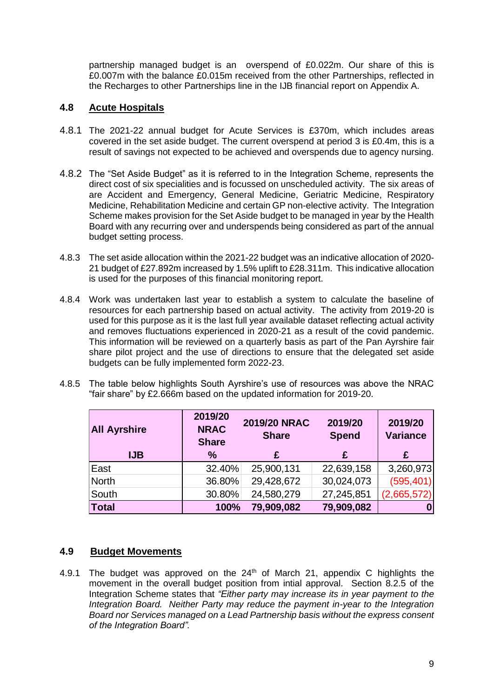partnership managed budget is an overspend of £0.022m. Our share of this is £0.007m with the balance £0.015m received from the other Partnerships, reflected in the Recharges to other Partnerships line in the IJB financial report on Appendix A.

## **4.8 Acute Hospitals**

- 4.8.1 The 2021-22 annual budget for Acute Services is £370m, which includes areas covered in the set aside budget. The current overspend at period 3 is £0.4m, this is a result of savings not expected to be achieved and overspends due to agency nursing.
- 4.8.2 The "Set Aside Budget" as it is referred to in the Integration Scheme, represents the direct cost of six specialities and is focussed on unscheduled activity. The six areas of are Accident and Emergency, General Medicine, Geriatric Medicine, Respiratory Medicine, Rehabilitation Medicine and certain GP non-elective activity. The Integration Scheme makes provision for the Set Aside budget to be managed in year by the Health Board with any recurring over and underspends being considered as part of the annual budget setting process.
- 4.8.3 The set aside allocation within the 2021-22 budget was an indicative allocation of 2020- 21 budget of £27.892m increased by 1.5% uplift to £28.311m. This indicative allocation is used for the purposes of this financial monitoring report.
- 4.8.4 Work was undertaken last year to establish a system to calculate the baseline of resources for each partnership based on actual activity. The activity from 2019-20 is used for this purpose as it is the last full year available dataset reflecting actual activity and removes fluctuations experienced in 2020-21 as a result of the covid pandemic. This information will be reviewed on a quarterly basis as part of the Pan Ayrshire fair share pilot project and the use of directions to ensure that the delegated set aside budgets can be fully implemented form 2022-23.
- 4.8.5 The table below highlights South Ayrshire's use of resources was above the NRAC "fair share" by £2.666m based on the updated information for 2019-20.

| <b>All Ayrshire</b> | 2019/20<br><b>NRAC</b><br><b>Share</b> | 2019/20 NRAC<br><b>Share</b> | 2019/20<br><b>Spend</b> | 2019/20<br><b>Variance</b> |  |
|---------------------|----------------------------------------|------------------------------|-------------------------|----------------------------|--|
| IJB                 | $\frac{0}{0}$                          | £                            | £                       | £                          |  |
| East                | 32.40%                                 | 25,900,131                   | 22,639,158              | 3,260,973                  |  |
| North               | 36.80%                                 | 29,428,672                   | 30,024,073              | (595, 401)                 |  |
| South               | 30.80%                                 | 24,580,279                   | 27,245,851              | (2,665,572)                |  |
| <b>Total</b>        | 100%                                   | 79,909,082                   | 79,909,082              |                            |  |

#### **4.9 Budget Movements**

4.9.1 The budget was approved on the  $24<sup>th</sup>$  of March 21, appendix C highlights the movement in the overall budget position from intial approval. Section 8.2.5 of the Integration Scheme states that *"Either party may increase its in year payment to the Integration Board. Neither Party may reduce the payment in-year to the Integration Board nor Services managed on a Lead Partnership basis without the express consent of the Integration Board".*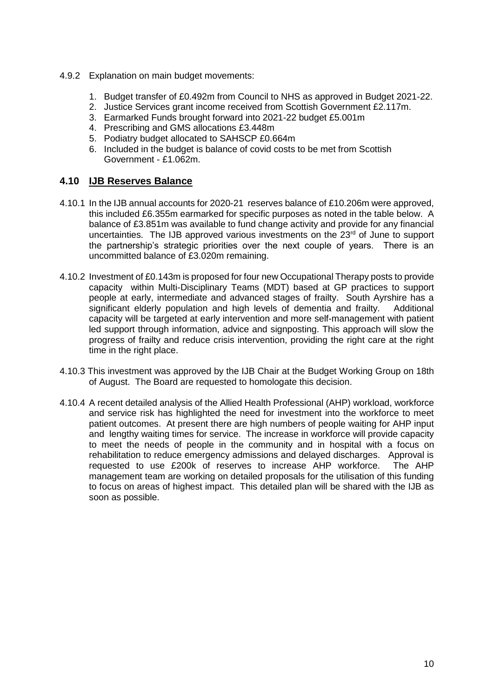- 4.9.2 Explanation on main budget movements:
	- 1. Budget transfer of £0.492m from Council to NHS as approved in Budget 2021-22.
	- 2. Justice Services grant income received from Scottish Government £2.117m.
	- 3. Earmarked Funds brought forward into 2021-22 budget £5.001m
	- 4. Prescribing and GMS allocations £3.448m
	- 5. Podiatry budget allocated to SAHSCP £0.664m
	- 6. Included in the budget is balance of covid costs to be met from Scottish Government - £1.062m.

#### **4.10 IJB Reserves Balance**

- 4.10.1 In the IJB annual accounts for 2020-21 reserves balance of £10.206m were approved, this included £6.355m earmarked for specific purposes as noted in the table below. A balance of £3.851m was available to fund change activity and provide for any financial uncertainties. The IJB approved various investments on the  $23<sup>rd</sup>$  of June to support the partnership's strategic priorities over the next couple of years. There is an uncommitted balance of £3.020m remaining.
- 4.10.2 Investment of £0.143m is proposed for four new Occupational Therapy posts to provide capacity within Multi-Disciplinary Teams (MDT) based at GP practices to support people at early, intermediate and advanced stages of frailty. South Ayrshire has a significant elderly population and high levels of dementia and frailty. Additional capacity will be targeted at early intervention and more self-management with patient led support through information, advice and signposting. This approach will slow the progress of frailty and reduce crisis intervention, providing the right care at the right time in the right place.
- 4.10.3 This investment was approved by the IJB Chair at the Budget Working Group on 18th of August. The Board are requested to homologate this decision.
- 4.10.4 A recent detailed analysis of the Allied Health Professional (AHP) workload, workforce and service risk has highlighted the need for investment into the workforce to meet patient outcomes. At present there are high numbers of people waiting for AHP input and lengthy waiting times for service. The increase in workforce will provide capacity to meet the needs of people in the community and in hospital with a focus on rehabilitation to reduce emergency admissions and delayed discharges. Approval is requested to use £200k of reserves to increase AHP workforce. The AHP management team are working on detailed proposals for the utilisation of this funding to focus on areas of highest impact. This detailed plan will be shared with the IJB as soon as possible.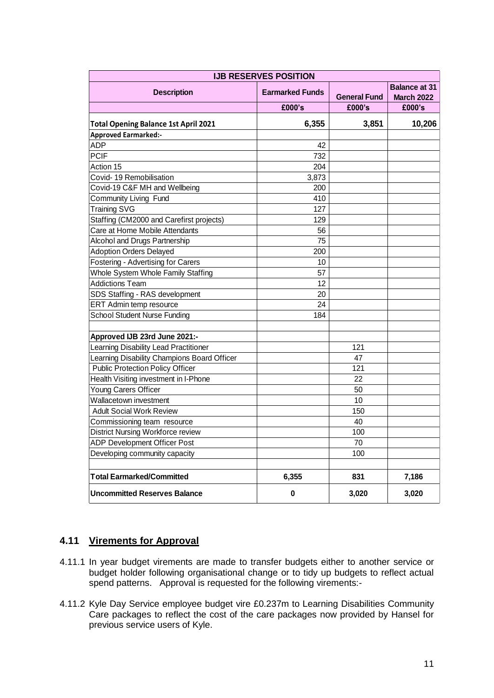| <b>IJB RESERVES POSITION</b>                |                        |                     |                                           |  |  |  |  |  |
|---------------------------------------------|------------------------|---------------------|-------------------------------------------|--|--|--|--|--|
| <b>Description</b>                          | <b>Earmarked Funds</b> | <b>General Fund</b> | <b>Balance at 31</b><br><b>March 2022</b> |  |  |  |  |  |
|                                             | £000's                 | £000's              | £000's                                    |  |  |  |  |  |
| <b>Total Opening Balance 1st April 2021</b> | 6,355                  | 3,851               | 10,206                                    |  |  |  |  |  |
| <b>Approved Earmarked:-</b>                 |                        |                     |                                           |  |  |  |  |  |
| <b>ADP</b>                                  | 42                     |                     |                                           |  |  |  |  |  |
| <b>PCIF</b>                                 | 732                    |                     |                                           |  |  |  |  |  |
| Action 15                                   | 204                    |                     |                                           |  |  |  |  |  |
| Covid-19 Remobilisation                     | 3,873                  |                     |                                           |  |  |  |  |  |
| Covid-19 C&F MH and Wellbeing               | 200                    |                     |                                           |  |  |  |  |  |
| Community Living Fund                       | 410                    |                     |                                           |  |  |  |  |  |
| Training SVG                                | 127                    |                     |                                           |  |  |  |  |  |
| Staffing (CM2000 and Carefirst projects)    | 129                    |                     |                                           |  |  |  |  |  |
| Care at Home Mobile Attendants              | 56                     |                     |                                           |  |  |  |  |  |
| Alcohol and Drugs Partnership               | 75                     |                     |                                           |  |  |  |  |  |
| <b>Adoption Orders Delayed</b>              | 200                    |                     |                                           |  |  |  |  |  |
| Fostering - Advertising for Carers          | 10                     |                     |                                           |  |  |  |  |  |
| Whole System Whole Family Staffing          | 57                     |                     |                                           |  |  |  |  |  |
| <b>Addictions Team</b>                      | 12                     |                     |                                           |  |  |  |  |  |
| SDS Staffing - RAS development              | 20                     |                     |                                           |  |  |  |  |  |
| ERT Admin temp resource                     | 24                     |                     |                                           |  |  |  |  |  |
| <b>School Student Nurse Funding</b>         | 184                    |                     |                                           |  |  |  |  |  |
|                                             |                        |                     |                                           |  |  |  |  |  |
| Approved IJB 23rd June 2021:-               |                        |                     |                                           |  |  |  |  |  |
| Learning Disability Lead Practitioner       |                        | 121                 |                                           |  |  |  |  |  |
| Learning Disability Champions Board Officer |                        | 47                  |                                           |  |  |  |  |  |
| Public Protection Policy Officer            |                        | 121                 |                                           |  |  |  |  |  |
| Health Visiting investment in I-Phone       |                        | 22                  |                                           |  |  |  |  |  |
| Young Carers Officer                        |                        | 50                  |                                           |  |  |  |  |  |
| Wallacetown investment                      |                        | 10                  |                                           |  |  |  |  |  |
| <b>Adult Social Work Review</b>             |                        | 150                 |                                           |  |  |  |  |  |
| Commissioning team resource                 |                        | 40                  |                                           |  |  |  |  |  |
| <b>District Nursing Workforce review</b>    |                        | 100                 |                                           |  |  |  |  |  |
| ADP Development Officer Post                |                        | 70                  |                                           |  |  |  |  |  |
| Developing community capacity               |                        | 100                 |                                           |  |  |  |  |  |
|                                             |                        |                     |                                           |  |  |  |  |  |
| <b>Total Earmarked/Committed</b>            | 6,355                  | 831                 | 7,186                                     |  |  |  |  |  |
| <b>Uncommitted Reserves Balance</b>         | 0                      | 3,020               | 3,020                                     |  |  |  |  |  |

## **4.11 Virements for Approval**

- 4.11.1 In year budget virements are made to transfer budgets either to another service or budget holder following organisational change or to tidy up budgets to reflect actual spend patterns. Approval is requested for the following virements:-
- 4.11.2 Kyle Day Service employee budget vire £0.237m to Learning Disabilities Community Care packages to reflect the cost of the care packages now provided by Hansel for previous service users of Kyle.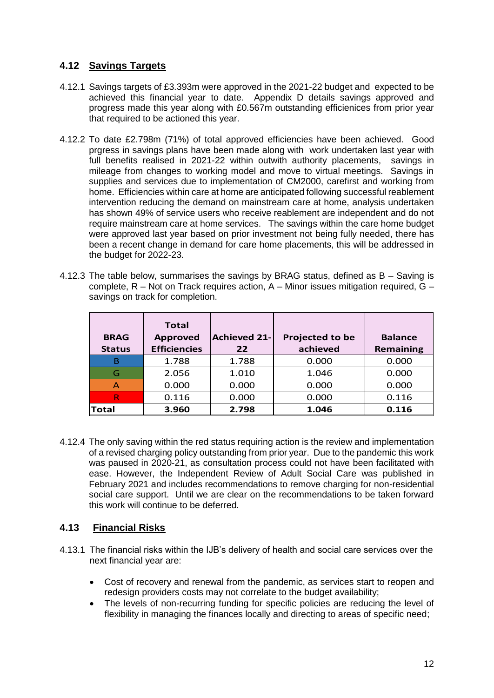## **4.12 Savings Targets**

- 4.12.1 Savings targets of £3.393m were approved in the 2021-22 budget and expected to be achieved this financial year to date. Appendix D details savings approved and progress made this year along with £0.567m outstanding efficienices from prior year that required to be actioned this year.
- 4.12.2 To date £2.798m (71%) of total approved efficiencies have been achieved. Good prgress in savings plans have been made along with work undertaken last year with full benefits realised in 2021-22 within outwith authority placements, savings in mileage from changes to working model and move to virtual meetings. Savings in supplies and services due to implementation of CM2000, carefirst and working from home. Efficiencies within care at home are anticipated following successful reablement intervention reducing the demand on mainstream care at home, analysis undertaken has shown 49% of service users who receive reablement are independent and do not require mainstream care at home services. The savings within the care home budget were approved last year based on prior investment not being fully needed, there has been a recent change in demand for care home placements, this will be addressed in the budget for 2022-23.
- 4.12.3 The table below, summarises the savings by BRAG status, defined as B Saving is complete,  $R - Not$  on Track requires action,  $A - Minor$  issues mitigation required,  $G$ savings on track for completion.

| <b>BRAG</b><br><b>Status</b> | <b>Total</b><br><b>Approved</b><br><b>Efficiencies</b> | <b>Achieved 21-</b><br>22 | <b>Projected to be</b><br>achieved | <b>Balance</b><br><b>Remaining</b> |
|------------------------------|--------------------------------------------------------|---------------------------|------------------------------------|------------------------------------|
| в                            | 1.788                                                  | 1.788                     | 0.000                              | 0.000                              |
| G                            | 2.056                                                  | 1.010                     | 1.046                              | 0.000                              |
| Α                            | 0.000                                                  | 0.000                     | 0.000                              | 0.000                              |
| R                            | 0.116                                                  | 0.000                     | 0.000                              | 0.116                              |
| <b>Total</b>                 | 3.960                                                  | 2.798                     | 1.046                              | 0.116                              |

4.12.4 The only saving within the red status requiring action is the review and implementation of a revised charging policy outstanding from prior year. Due to the pandemic this work was paused in 2020-21, as consultation process could not have been facilitated with ease. However, the Independent Review of Adult Social Care was published in February 2021 and includes recommendations to remove charging for non-residential social care support. Until we are clear on the recommendations to be taken forward this work will continue to be deferred.

## **4.13 Financial Risks**

- 4.13.1 The financial risks within the IJB's delivery of health and social care services over the next financial year are:
	- Cost of recovery and renewal from the pandemic, as services start to reopen and redesign providers costs may not correlate to the budget availability;
	- The levels of non-recurring funding for specific policies are reducing the level of flexibility in managing the finances locally and directing to areas of specific need;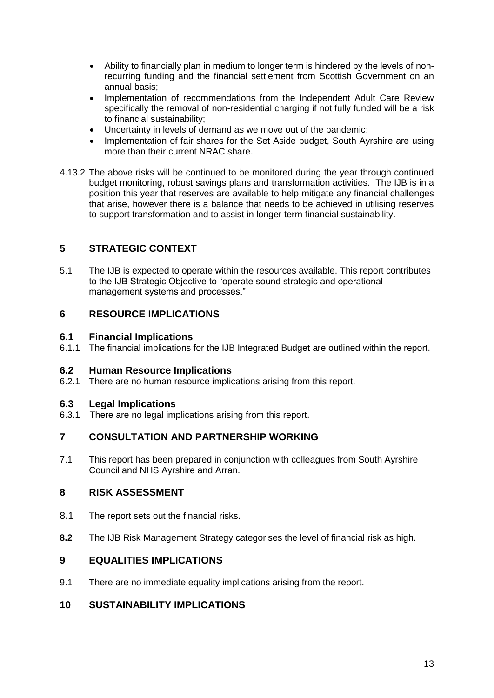- Ability to financially plan in medium to longer term is hindered by the levels of nonrecurring funding and the financial settlement from Scottish Government on an annual basis;
- Implementation of recommendations from the Independent Adult Care Review specifically the removal of non-residential charging if not fully funded will be a risk to financial sustainability;
- Uncertainty in levels of demand as we move out of the pandemic;
- Implementation of fair shares for the Set Aside budget, South Ayrshire are using more than their current NRAC share.
- 4.13.2 The above risks will be continued to be monitored during the year through continued budget monitoring, robust savings plans and transformation activities. The IJB is in a position this year that reserves are available to help mitigate any financial challenges that arise, however there is a balance that needs to be achieved in utilising reserves to support transformation and to assist in longer term financial sustainability.

## **5 STRATEGIC CONTEXT**

5.1 The IJB is expected to operate within the resources available. This report contributes to the IJB Strategic Objective to "operate sound strategic and operational management systems and processes."

## **6 RESOURCE IMPLICATIONS**

#### **6.1 Financial Implications**

6.1.1 The financial implications for the IJB Integrated Budget are outlined within the report.

#### **6.2 Human Resource Implications**

6.2.1 There are no human resource implications arising from this report.

#### **6.3 Legal Implications**

6.3.1 There are no legal implications arising from this report.

#### **7 CONSULTATION AND PARTNERSHIP WORKING**

7.1 This report has been prepared in conjunction with colleagues from South Ayrshire Council and NHS Ayrshire and Arran.

#### **8 RISK ASSESSMENT**

- 8.1 The report sets out the financial risks.
- **8.2** The IJB Risk Management Strategy categorises the level of financial risk as high.

#### **9 EQUALITIES IMPLICATIONS**

9.1 There are no immediate equality implications arising from the report.

## **10 SUSTAINABILITY IMPLICATIONS**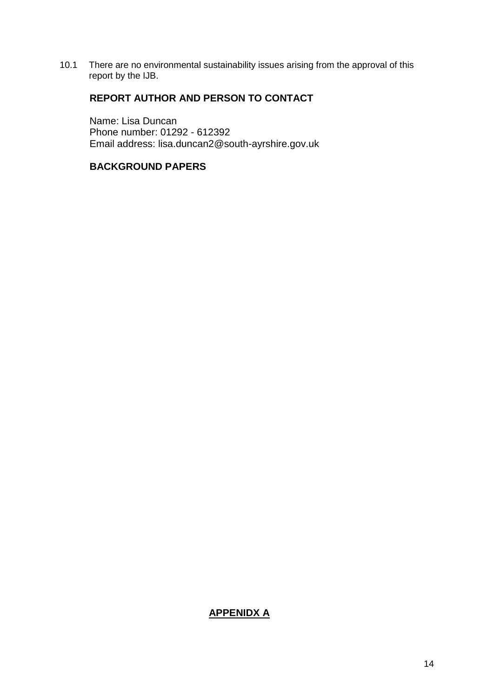10.1 There are no environmental sustainability issues arising from the approval of this report by the IJB.

## **REPORT AUTHOR AND PERSON TO CONTACT**

Name: Lisa Duncan Phone number: 01292 - 612392 Email address: lisa.duncan2@south-ayrshire.gov.uk

#### **BACKGROUND PAPERS**

#### **APPENIDX A**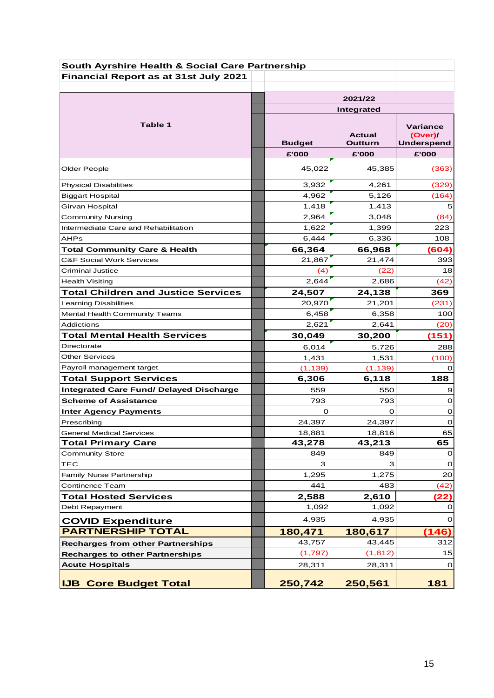| South Ayrshire Health & Social Care Partnership |               |            |                     |  |  |  |
|-------------------------------------------------|---------------|------------|---------------------|--|--|--|
| Financial Report as at 31st July 2021           |               |            |                     |  |  |  |
|                                                 |               |            |                     |  |  |  |
|                                                 | 2021/22       |            |                     |  |  |  |
|                                                 |               | Integrated |                     |  |  |  |
| Table 1                                         |               |            |                     |  |  |  |
|                                                 |               | Actual     | Variance<br>(Over)/ |  |  |  |
|                                                 | <b>Budget</b> | Outturn    | <b>Underspend</b>   |  |  |  |
|                                                 | £'000         | £'000      | £'000               |  |  |  |
| <b>Older People</b>                             | 45,022        | 45,385     | (363)               |  |  |  |
| <b>Physical Disabilities</b>                    | 3,932         | 4,261      | (329)               |  |  |  |
| <b>Biggart Hospital</b>                         | 4,962         | 5,126      | (164)               |  |  |  |
| Girvan Hospital                                 | 1,418         | 1,413      | 5                   |  |  |  |
| <b>Community Nursing</b>                        | 2,964         | 3,048      | (84)                |  |  |  |
| Intermediate Care and Rehabilitation            | 1,622         | 1,399      | 223                 |  |  |  |
| AHPs                                            | 6,444         | 6,336      | 108                 |  |  |  |
| <b>Total Community Care &amp; Health</b>        | 66,364        | 66,968     | (604)               |  |  |  |
| <b>C&amp;F Social Work Services</b>             | 21,867        | 21,474     | 393                 |  |  |  |
| <b>Criminal Justice</b>                         | (4)           | (22)       | 18                  |  |  |  |
| <b>Health Visiting</b>                          | 2,644         | 2,686      | (42)                |  |  |  |
| <b>Total Children and Justice Services</b>      | 24,507        | 24,138     | 369                 |  |  |  |
| <b>Learning Disabilities</b>                    | 20,970        | 21,201     | (231)               |  |  |  |
| <b>Mental Health Community Teams</b>            | 6,458         | 6,358      | 100                 |  |  |  |
| Addictions                                      | 2,621         | 2,641      | (20)                |  |  |  |
| <b>Total Mental Health Services</b>             | 30,049        | 30,200     | (151)               |  |  |  |
| Directorate                                     | 6,014         | 5,726      | 288                 |  |  |  |
| <b>Other Services</b>                           | 1,431         | 1,531      | (100)               |  |  |  |
| Payroll management target                       | (1, 139)      | (1, 139)   | 0                   |  |  |  |
| <b>Total Support Services</b>                   | 6,306         | 6,118      | 188                 |  |  |  |
| <b>Integrated Care Fund/ Delayed Discharge</b>  | 559           | 550        | 9                   |  |  |  |
| <b>Scheme of Assistance</b>                     | 793           | 793        | $\mathbf 0$         |  |  |  |
| <b>Inter Agency Payments</b>                    | O             | O          | 0                   |  |  |  |
| Prescribing                                     | 24,397        | 24,397     | 0                   |  |  |  |
| <b>General Medical Services</b>                 | 18,881        | 18,816     | 65                  |  |  |  |
| <b>Total Primary Care</b>                       | 43,278        | 43,213     | 65                  |  |  |  |
| <b>Community Store</b>                          | 849           | 849        | O                   |  |  |  |
| TEC                                             | з             | з          | 0                   |  |  |  |
| <b>Family Nurse Partnership</b>                 | 1,295         | 1,275      | 20                  |  |  |  |
| <b>Continence Team</b>                          | 441           | 483        | (42)                |  |  |  |
| <b>Total Hosted Services</b>                    | 2,588         | 2,610      | (22)                |  |  |  |
| Debt Repayment                                  | 1,092         | 1,092      | $\Omega$            |  |  |  |
| <b>COVID Expenditure</b>                        | 4,935         | 4,935      | 0                   |  |  |  |
| <b>PARTNERSHIP TOTAL</b>                        | 180,471       | 180,617    | (146)               |  |  |  |
| <b>Recharges from other Partnerships</b>        | 43,757        | 43,445     | 312                 |  |  |  |
| <b>Recharges to other Partnerships</b>          | (1,797)       | (1, 812)   | 15                  |  |  |  |
| <b>Acute Hospitals</b>                          | 28,311        | 28,311     | 0                   |  |  |  |
|                                                 |               |            |                     |  |  |  |
| <b>IJB Core Budget Total</b>                    | 250,742       | 250,561    | 181                 |  |  |  |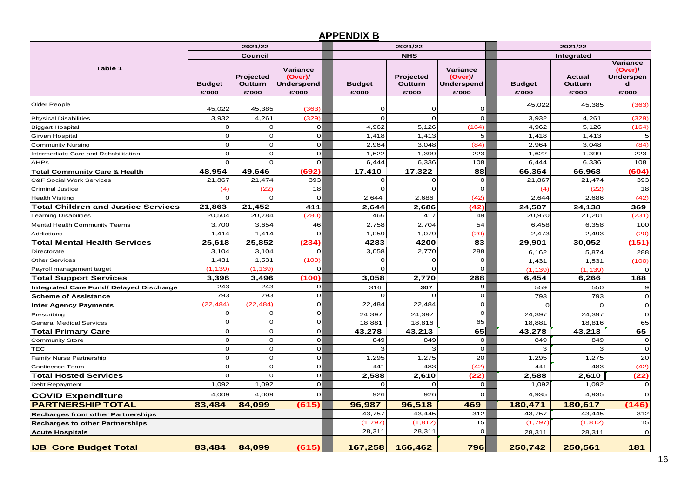## **APPENDIX B**

| 2021/22                                        |                        |                               |                                            |                        | 2021/22                       |                                                   | 2021/22                |                                   |                                                                 |  |
|------------------------------------------------|------------------------|-------------------------------|--------------------------------------------|------------------------|-------------------------------|---------------------------------------------------|------------------------|-----------------------------------|-----------------------------------------------------------------|--|
|                                                |                        | <b>Council</b>                |                                            |                        | <b>NHS</b>                    |                                                   | Integrated             |                                   |                                                                 |  |
| Table 1                                        | <b>Budget</b><br>£'000 | Projected<br>Outturn<br>£'000 | Variance<br>(Over)/<br>Underspend<br>£'000 | <b>Budget</b><br>£'000 | Projected<br>Outturn<br>£'000 | Variance<br>(Over)/<br><b>Underspend</b><br>£'000 | <b>Budget</b><br>£'000 | <b>Actual</b><br>Outturn<br>£'000 | Variance<br>(Over)/<br><b>Underspen</b><br>$\mathbf d$<br>£'000 |  |
|                                                |                        |                               |                                            |                        |                               |                                                   |                        |                                   |                                                                 |  |
| Older People                                   | 45,022                 | 45,385                        | (363)                                      | O                      | $\mathbf 0$                   | $\mathbf 0$                                       | 45,022                 | 45,385                            | (363)                                                           |  |
| <b>Physical Disabilities</b>                   | 3,932                  | 4,261                         | (329)                                      | $\Omega$               | $\Omega$                      | $\mathbf 0$                                       | 3,932                  | 4,261                             | (329)                                                           |  |
| <b>Biggart Hospital</b>                        | $\Omega$               | $\Omega$                      | O                                          | 4,962                  | 5,126                         | (164)                                             | 4,962                  | 5,126                             | (164)                                                           |  |
| Girvan Hospital                                | $\Omega$               | $\mathbf 0$                   | $\mathbf 0$                                | 1,418                  | 1,413                         | 5                                                 | 1,418                  | 1,413                             | 5                                                               |  |
| <b>Community Nursing</b>                       | ∩                      | $\mathbf 0$                   | $\mathbf 0$                                | 2,964                  | 3,048                         | (84)                                              | 2,964                  | 3,048                             | (84)                                                            |  |
| Intermediate Care and Rehabilitation           | $\Omega$               | $\mathbf 0$                   | $\mathbf{O}$                               | 1,622                  | 1,399                         | 223                                               | 1,622                  | 1,399                             | 223                                                             |  |
| <b>AHPs</b>                                    | $\Omega$               | $\mathbf 0$                   | $\Omega$                                   | 6,444                  | 6,336                         | 108                                               | 6,444                  | 6,336                             | 108                                                             |  |
| <b>Total Community Care &amp; Health</b>       | 48,954                 | 49,646                        | (692                                       | 17,410                 | 17,322                        | 88                                                | 66,364                 | 66,968                            | (604                                                            |  |
| <b>C&amp;F Social Work Services</b>            | 21,867                 | 21,474                        | 393                                        | O                      | $\mathbf 0$                   | $\mathbf 0$                                       | 21,867                 | 21,474                            | 393                                                             |  |
| <b>Criminal Justice</b>                        | (4)                    | (22)                          | 18                                         | $\mathbf 0$            | $\Omega$                      | $\mathbf 0$                                       | (4)                    | (22)                              | 18                                                              |  |
| <b>Health Visiting</b>                         | $\Omega$               | $\mathbf{o}$                  | 0                                          | 2,644                  | 2,686                         | (42)                                              | 2,644                  | 2,686                             | (42)                                                            |  |
| <b>Total Children and Justice Services</b>     | 21,863                 | 21,452                        | 411                                        | 2,644                  | 2,686                         | (42)                                              | 24,507                 | 24,138                            | 369                                                             |  |
| Learning Disabilities                          | 20,504                 | 20,784                        | (280)                                      | 466                    | 417                           | 49                                                | 20,970                 | 21,201                            | (231)                                                           |  |
| Mental Health Community Teams                  | 3,700                  | 3,654                         | 46                                         | 2,758                  | 2,704                         | 54                                                | 6,458                  | 6,358                             | 100                                                             |  |
| Addictions                                     | 1,414                  | 1,414                         | $\circ$                                    | 1,059                  | 1,079                         | (20)                                              | 2,473                  | 2,493                             | (20)                                                            |  |
| <b>Total Mental Health Services</b>            | 25,618                 | 25,852                        | (234)                                      | 4283                   | 4200                          | 83                                                | 29,901                 | 30,052                            | (151)                                                           |  |
| Directorate                                    | 3,104                  | 3,104                         | $\Omega$                                   | 3,058                  | 2,770                         | 288                                               | 6,162                  | 5,874                             | 288                                                             |  |
| <b>Other Services</b>                          | 1,431                  | 1,531                         | (100)                                      | 0                      | $\mathbf 0$                   | $\mathbf{o}$                                      | 1,431                  | 1,531                             | (100)                                                           |  |
| Payroll management target                      | (1, 139)               | (1, 139)                      | $\mathbf{O}$                               | $\mathbf{o}$           | $\mathbf 0$                   | $\mathbf 0$                                       | (1, 139)               | (1, 139)                          | $\Omega$                                                        |  |
| <b>Total Support Services</b>                  | 3,396                  | 3,496                         | (100)                                      | 3,058                  | 2,770                         | 288                                               | 6,454                  | 6,266                             | 188                                                             |  |
| <b>Integrated Care Fund/ Delayed Discharge</b> | 243                    | 243                           | $\mathbf{O}$                               | 316                    | 307                           | 9                                                 | 559                    | 550                               | 9                                                               |  |
| <b>Scheme of Assistance</b>                    | 793                    | 793                           | οl                                         | 0                      | C                             | $\mathbf 0$                                       | 793                    | 793                               | $\mathbf 0$                                                     |  |
| <b>Inter Agency Payments</b>                   | (22, 484)              | (22, 484)                     | $\circ$                                    | 22,484                 | 22,484                        | $\mathbf 0$                                       | $\Omega$               | $\Omega$                          | $\mathbf 0$                                                     |  |
| Prescribing                                    | $\Omega$               | $\mathbf 0$                   | οI                                         | 24,397                 | 24,397                        | $\mathbf{o}$                                      | 24,397                 | 24,397                            | $\mathbf 0$                                                     |  |
| <b>General Medical Services</b>                | $\Omega$               | $\mathbf 0$                   | $\mathbf{O}$                               | 18,881                 | 18,816                        | 65                                                | 18,881                 | 18,816                            | 65                                                              |  |
| Total Primary Care                             | $\Omega$               | $\mathbf{o}$                  | οI                                         | 43,278                 | 43,213                        | 65                                                | 43,278                 | 43,213                            | 65                                                              |  |
| Community Store                                | $\Omega$               | $\mathbf 0$                   | $\mathbf{O}$                               | 849                    | 849                           | $\mathbf{o}$                                      | 849                    | 849                               | $\mathbf O$                                                     |  |
| TEC                                            | $\Omega$               | $\mathbf 0$                   | οI                                         | 3                      | 3                             | $\mathbf{o}$                                      | 3                      | з                                 | $\mathbf 0$                                                     |  |
| Family Nurse Partnership                       | $\Omega$               | $\mathbf 0$                   | $\Omega$                                   | 1,295                  | 1,275                         | 20                                                | 1,295                  | 1,275                             | 20                                                              |  |
| Continence Team                                | $\Omega$               | $\mathbf 0$                   | $\mathbf{O}$                               | 441                    | 483                           | (42)                                              | 441                    | 483                               | (42)                                                            |  |
| <b>Total Hosted Services</b>                   | $\Omega$               | $\Omega$                      | ΩI                                         | 2,588                  | 2,610                         | (22)                                              | 2,588                  | 2,610                             | (22)                                                            |  |
| Debt Repayment                                 | 1,092                  | 1,092                         | $\mathbf{O}$                               | $\Omega$               | $\Omega$                      | $\mathbf 0$                                       | 1,092                  | 1,092                             | $\mathbf 0$                                                     |  |
| <b>COVID Expenditure</b>                       | 4,009                  | 4,009                         | $\Omega$                                   | 926                    | 926                           | 0                                                 | 4,935                  | 4,935                             | $\Omega$                                                        |  |
| <b>PARTNERSHIP TOTAL</b>                       | 83,484                 | 84,099                        | (615)                                      | 96,987                 | 96,518                        | 469                                               | 180,471                | 180,617                           | (146)                                                           |  |
| <b>Recharges from other Partnerships</b>       |                        |                               |                                            | 43,757                 | 43,445                        | 312                                               | 43,757                 | 43,445                            | 312                                                             |  |
| <b>Recharges to other Partnerships</b>         |                        |                               |                                            | (1,797)                | (1, 812)                      | 15                                                | (1,797)                | (1, 812)                          | 15                                                              |  |
| <b>Acute Hospitals</b>                         |                        |                               |                                            | 28,311                 | 28,311                        | $\mathbf 0$                                       | 28,311                 | 28,311                            | $\mathbf 0$                                                     |  |
| <b>IJB Core Budget Total</b>                   | 83.484                 | 84.099                        | (615)                                      | 167,258                | 166.462                       | 796                                               | 250.742                | 250.561                           | 181                                                             |  |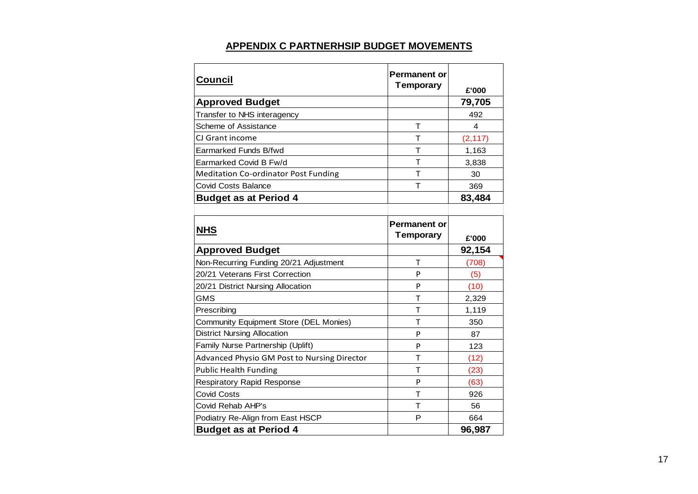| <b>Council</b>                                | <b>Permanent or</b><br><b>Temporary</b> | £'000          |
|-----------------------------------------------|-----------------------------------------|----------------|
| <b>Approved Budget</b>                        |                                         | 79,705         |
| Transfer to NHS interagency                   |                                         | 492            |
| Scheme of Assistance                          | т                                       | $\overline{4}$ |
| CJ Grant income                               | т                                       | (2, 117)       |
| Earmarked Funds B/fwd                         | т                                       | 1,163          |
| Earmarked Covid B Fw/d                        | т                                       | 3,838          |
| <b>Meditation Co-ordinator Post Funding</b>   | Τ                                       | 30             |
| <b>Covid Costs Balance</b>                    | T                                       | 369            |
| <b>Budget as at Period 4</b>                  |                                         | 83,484         |
|                                               |                                         |                |
| <b>NHS</b>                                    | <b>Permanent or</b><br><b>Temporary</b> | £'000          |
| <b>Approved Budget</b>                        |                                         | 92,154         |
| Non-Recurring Funding 20/21 Adjustment        | т                                       | (708)          |
| 20/21 Veterans First Correction               | P                                       | (5)            |
| 20/21 District Nursing Allocation             | P                                       | (10)           |
| <b>GMS</b>                                    | T                                       | 2,329          |
| Prescribing                                   | т                                       | 1,119          |
| <b>Community Equipment Store (DEL Monies)</b> | т                                       | 350            |
| <b>District Nursing Allocation</b>            | P                                       | 87             |
| Family Nurse Partnership (Uplift)             | P                                       | 123            |
| Advanced Physio GM Post to Nursing Director   | T                                       | (12)           |
| <b>Public Health Funding</b>                  | т                                       | (23)           |
| <b>Respiratory Rapid Response</b>             | P                                       | (63)           |
| <b>Covid Costs</b>                            | т                                       | 926            |
| Covid Rehab AHP's                             | т                                       | 56             |
| Podiatry Re-Align from East HSCP              | Р                                       | 664            |
| <b>Budget as at Period 4</b>                  |                                         | 96,987         |

## **APPENDIX C PARTNERHSIP BUDGET MOVEMENTS**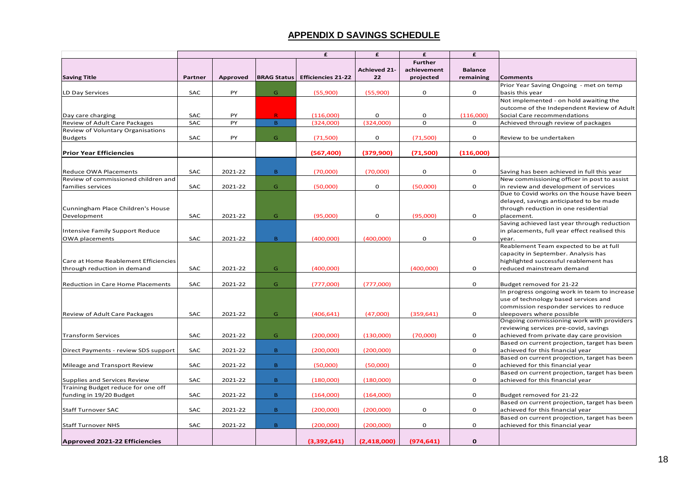## **APPENDIX D SAVINGS SCHEDULE**

| <b>Further</b><br><b>Achieved 21-</b><br>achievement<br><b>Balance</b><br><b>Saving Title</b><br>Partner<br><b>Approved</b><br><b>BRAG Status</b><br><b>Efficiencies 21-22</b><br>22<br>projected<br>remaining<br><b>Comments</b><br>Prior Year Saving Ongoing - met on temp<br><b>SAC</b><br>PY<br>0<br>G.<br>(55,900)<br>(55,900)<br>O<br>basis this year<br>Not implemented - on hold awaiting the<br>outcome of the Independent Review of Adult<br><b>SAC</b><br>PY<br>R<br>0<br>0<br>(116,000)<br>Social Care recommendations<br>(116,000)<br>$\Omega$<br><b>SAC</b><br>PY<br>$\overline{B}$<br>(324,000)<br>(324,000)<br>$\mathbf 0$<br>Achieved through review of packages<br><b>SAC</b><br>PY<br>G.<br>(71,500)<br>0<br>(71,500)<br>0<br>Review to be undertaken<br>(379,900)<br>(71,500)<br>(116,000)<br>(567, 400)<br>0<br><b>SAC</b><br>2021-22<br>B.<br>(70,000)<br>0<br>(70,000)<br>Saving has been achieved in full this year<br>New commissioning officer in post to assist<br><b>SAC</b><br>0<br>2021-22<br>G<br>(50,000)<br>(50,000)<br>0<br>in review and development of services<br>Due to Covid works on the house have been<br>delayed, savings anticipated to be made<br>Cunningham Place Children's House<br>through reduction in one residential<br><b>SAC</b><br>2021-22<br>(95,000)<br>0<br>(95,000)<br>0<br>G.<br>placement.<br>Saving achieved last year through reduction<br>in placements, full year effect realised this<br>Intensive Family Support Reduce<br>$\mathbf 0$<br>OWA placements<br><b>SAC</b><br>2021-22<br>B.<br>(400.000)<br>(400.000)<br>$\mathbf 0$<br>vear.<br>Reablement Team expected to be at full<br>capacity in September. Analysis has<br>highlighted successful reablement has<br>$\mathbf 0$<br><b>SAC</b><br>2021-22<br>G<br>(400,000)<br>(400,000)<br>reduced mainstream demand<br>through reduction in demand<br>SAC<br>2021-22<br>G<br>(777,000)<br>$\mathbf 0$<br>(777,000)<br>Budget removed for 21-22<br>In progress ongoing work in team to increase<br>use of technology based services and<br>commission responder services to reduce<br><b>SAC</b><br>2021-22<br>G<br>(406, 641)<br>(47,000)<br>(359, 641)<br>0<br>sleepovers where possible<br>Review of Adult Care Packages<br>Ongoing commissioning work with providers<br>reviewing services pre-covid, savings<br><b>Transform Services</b><br><b>SAC</b><br>2021-22<br>G.<br>(200,000)<br>(130,000)<br>(70,000)<br>0<br>achieved from private day care provision<br>Based on current projection, target has been<br><b>SAC</b><br>2021-22<br>$\mathbf{B}$<br>(200,000)<br>(200,000)<br>0<br>achieved for this financial year<br>Direct Payments - review SDS support<br>Based on current projection, target has been<br><b>SAC</b><br>2021-22<br>B.<br>(50,000)<br>(50,000)<br>0<br>achieved for this financial year<br>Mileage and Transport Review<br>Based on current projection, target has been<br>Supplies and Services Review<br><b>SAC</b><br>2021-22<br>B.<br>(180,000)<br>(180,000)<br>0<br>achieved for this financial year<br>Training Budget reduce for one off<br>funding in 19/20 Budget<br><b>SAC</b><br>2021-22<br>B<br>(164,000)<br>0<br>Budget removed for 21-22<br>(164,000)<br>Based on current projection, target has been<br>0<br><b>SAC</b><br>2021-22<br>B.<br>(200,000)<br>0<br>(200,000)<br>achieved for this financial year<br>Based on current projection, target has been<br><b>SAC</b><br>2021-22<br>$\mathbf{B}$<br>0<br>0<br>(200,000)<br>(200,000)<br>achieved for this financial year<br>(3,392,641)<br>(2,418,000)<br>(974, 641)<br>$\mathbf{o}$ |                                          |  | £ | £ | £ | £ |  |
|----------------------------------------------------------------------------------------------------------------------------------------------------------------------------------------------------------------------------------------------------------------------------------------------------------------------------------------------------------------------------------------------------------------------------------------------------------------------------------------------------------------------------------------------------------------------------------------------------------------------------------------------------------------------------------------------------------------------------------------------------------------------------------------------------------------------------------------------------------------------------------------------------------------------------------------------------------------------------------------------------------------------------------------------------------------------------------------------------------------------------------------------------------------------------------------------------------------------------------------------------------------------------------------------------------------------------------------------------------------------------------------------------------------------------------------------------------------------------------------------------------------------------------------------------------------------------------------------------------------------------------------------------------------------------------------------------------------------------------------------------------------------------------------------------------------------------------------------------------------------------------------------------------------------------------------------------------------------------------------------------------------------------------------------------------------------------------------------------------------------------------------------------------------------------------------------------------------------------------------------------------------------------------------------------------------------------------------------------------------------------------------------------------------------------------------------------------------------------------------------------------------------------------------------------------------------------------------------------------------------------------------------------------------------------------------------------------------------------------------------------------------------------------------------------------------------------------------------------------------------------------------------------------------------------------------------------------------------------------------------------------------------------------------------------------------------------------------------------------------------------------------------------------------------------------------------------------------------------------------------------------------------------------------------------------------------------------------------------------------------------------------------------------------------------------------------------------------------------------------------------------------------------------------------------------------------------------------------------------------|------------------------------------------|--|---|---|---|---|--|
|                                                                                                                                                                                                                                                                                                                                                                                                                                                                                                                                                                                                                                                                                                                                                                                                                                                                                                                                                                                                                                                                                                                                                                                                                                                                                                                                                                                                                                                                                                                                                                                                                                                                                                                                                                                                                                                                                                                                                                                                                                                                                                                                                                                                                                                                                                                                                                                                                                                                                                                                                                                                                                                                                                                                                                                                                                                                                                                                                                                                                                                                                                                                                                                                                                                                                                                                                                                                                                                                                                                                                                                                                |                                          |  |   |   |   |   |  |
|                                                                                                                                                                                                                                                                                                                                                                                                                                                                                                                                                                                                                                                                                                                                                                                                                                                                                                                                                                                                                                                                                                                                                                                                                                                                                                                                                                                                                                                                                                                                                                                                                                                                                                                                                                                                                                                                                                                                                                                                                                                                                                                                                                                                                                                                                                                                                                                                                                                                                                                                                                                                                                                                                                                                                                                                                                                                                                                                                                                                                                                                                                                                                                                                                                                                                                                                                                                                                                                                                                                                                                                                                |                                          |  |   |   |   |   |  |
|                                                                                                                                                                                                                                                                                                                                                                                                                                                                                                                                                                                                                                                                                                                                                                                                                                                                                                                                                                                                                                                                                                                                                                                                                                                                                                                                                                                                                                                                                                                                                                                                                                                                                                                                                                                                                                                                                                                                                                                                                                                                                                                                                                                                                                                                                                                                                                                                                                                                                                                                                                                                                                                                                                                                                                                                                                                                                                                                                                                                                                                                                                                                                                                                                                                                                                                                                                                                                                                                                                                                                                                                                |                                          |  |   |   |   |   |  |
|                                                                                                                                                                                                                                                                                                                                                                                                                                                                                                                                                                                                                                                                                                                                                                                                                                                                                                                                                                                                                                                                                                                                                                                                                                                                                                                                                                                                                                                                                                                                                                                                                                                                                                                                                                                                                                                                                                                                                                                                                                                                                                                                                                                                                                                                                                                                                                                                                                                                                                                                                                                                                                                                                                                                                                                                                                                                                                                                                                                                                                                                                                                                                                                                                                                                                                                                                                                                                                                                                                                                                                                                                |                                          |  |   |   |   |   |  |
|                                                                                                                                                                                                                                                                                                                                                                                                                                                                                                                                                                                                                                                                                                                                                                                                                                                                                                                                                                                                                                                                                                                                                                                                                                                                                                                                                                                                                                                                                                                                                                                                                                                                                                                                                                                                                                                                                                                                                                                                                                                                                                                                                                                                                                                                                                                                                                                                                                                                                                                                                                                                                                                                                                                                                                                                                                                                                                                                                                                                                                                                                                                                                                                                                                                                                                                                                                                                                                                                                                                                                                                                                | LD Day Services                          |  |   |   |   |   |  |
|                                                                                                                                                                                                                                                                                                                                                                                                                                                                                                                                                                                                                                                                                                                                                                                                                                                                                                                                                                                                                                                                                                                                                                                                                                                                                                                                                                                                                                                                                                                                                                                                                                                                                                                                                                                                                                                                                                                                                                                                                                                                                                                                                                                                                                                                                                                                                                                                                                                                                                                                                                                                                                                                                                                                                                                                                                                                                                                                                                                                                                                                                                                                                                                                                                                                                                                                                                                                                                                                                                                                                                                                                |                                          |  |   |   |   |   |  |
|                                                                                                                                                                                                                                                                                                                                                                                                                                                                                                                                                                                                                                                                                                                                                                                                                                                                                                                                                                                                                                                                                                                                                                                                                                                                                                                                                                                                                                                                                                                                                                                                                                                                                                                                                                                                                                                                                                                                                                                                                                                                                                                                                                                                                                                                                                                                                                                                                                                                                                                                                                                                                                                                                                                                                                                                                                                                                                                                                                                                                                                                                                                                                                                                                                                                                                                                                                                                                                                                                                                                                                                                                |                                          |  |   |   |   |   |  |
|                                                                                                                                                                                                                                                                                                                                                                                                                                                                                                                                                                                                                                                                                                                                                                                                                                                                                                                                                                                                                                                                                                                                                                                                                                                                                                                                                                                                                                                                                                                                                                                                                                                                                                                                                                                                                                                                                                                                                                                                                                                                                                                                                                                                                                                                                                                                                                                                                                                                                                                                                                                                                                                                                                                                                                                                                                                                                                                                                                                                                                                                                                                                                                                                                                                                                                                                                                                                                                                                                                                                                                                                                | Day care charging                        |  |   |   |   |   |  |
|                                                                                                                                                                                                                                                                                                                                                                                                                                                                                                                                                                                                                                                                                                                                                                                                                                                                                                                                                                                                                                                                                                                                                                                                                                                                                                                                                                                                                                                                                                                                                                                                                                                                                                                                                                                                                                                                                                                                                                                                                                                                                                                                                                                                                                                                                                                                                                                                                                                                                                                                                                                                                                                                                                                                                                                                                                                                                                                                                                                                                                                                                                                                                                                                                                                                                                                                                                                                                                                                                                                                                                                                                | <b>Review of Adult Care Packages</b>     |  |   |   |   |   |  |
|                                                                                                                                                                                                                                                                                                                                                                                                                                                                                                                                                                                                                                                                                                                                                                                                                                                                                                                                                                                                                                                                                                                                                                                                                                                                                                                                                                                                                                                                                                                                                                                                                                                                                                                                                                                                                                                                                                                                                                                                                                                                                                                                                                                                                                                                                                                                                                                                                                                                                                                                                                                                                                                                                                                                                                                                                                                                                                                                                                                                                                                                                                                                                                                                                                                                                                                                                                                                                                                                                                                                                                                                                | Review of Voluntary Organisations        |  |   |   |   |   |  |
|                                                                                                                                                                                                                                                                                                                                                                                                                                                                                                                                                                                                                                                                                                                                                                                                                                                                                                                                                                                                                                                                                                                                                                                                                                                                                                                                                                                                                                                                                                                                                                                                                                                                                                                                                                                                                                                                                                                                                                                                                                                                                                                                                                                                                                                                                                                                                                                                                                                                                                                                                                                                                                                                                                                                                                                                                                                                                                                                                                                                                                                                                                                                                                                                                                                                                                                                                                                                                                                                                                                                                                                                                | <b>Budgets</b>                           |  |   |   |   |   |  |
|                                                                                                                                                                                                                                                                                                                                                                                                                                                                                                                                                                                                                                                                                                                                                                                                                                                                                                                                                                                                                                                                                                                                                                                                                                                                                                                                                                                                                                                                                                                                                                                                                                                                                                                                                                                                                                                                                                                                                                                                                                                                                                                                                                                                                                                                                                                                                                                                                                                                                                                                                                                                                                                                                                                                                                                                                                                                                                                                                                                                                                                                                                                                                                                                                                                                                                                                                                                                                                                                                                                                                                                                                |                                          |  |   |   |   |   |  |
|                                                                                                                                                                                                                                                                                                                                                                                                                                                                                                                                                                                                                                                                                                                                                                                                                                                                                                                                                                                                                                                                                                                                                                                                                                                                                                                                                                                                                                                                                                                                                                                                                                                                                                                                                                                                                                                                                                                                                                                                                                                                                                                                                                                                                                                                                                                                                                                                                                                                                                                                                                                                                                                                                                                                                                                                                                                                                                                                                                                                                                                                                                                                                                                                                                                                                                                                                                                                                                                                                                                                                                                                                | <b>Prior Year Efficiencies</b>           |  |   |   |   |   |  |
|                                                                                                                                                                                                                                                                                                                                                                                                                                                                                                                                                                                                                                                                                                                                                                                                                                                                                                                                                                                                                                                                                                                                                                                                                                                                                                                                                                                                                                                                                                                                                                                                                                                                                                                                                                                                                                                                                                                                                                                                                                                                                                                                                                                                                                                                                                                                                                                                                                                                                                                                                                                                                                                                                                                                                                                                                                                                                                                                                                                                                                                                                                                                                                                                                                                                                                                                                                                                                                                                                                                                                                                                                |                                          |  |   |   |   |   |  |
|                                                                                                                                                                                                                                                                                                                                                                                                                                                                                                                                                                                                                                                                                                                                                                                                                                                                                                                                                                                                                                                                                                                                                                                                                                                                                                                                                                                                                                                                                                                                                                                                                                                                                                                                                                                                                                                                                                                                                                                                                                                                                                                                                                                                                                                                                                                                                                                                                                                                                                                                                                                                                                                                                                                                                                                                                                                                                                                                                                                                                                                                                                                                                                                                                                                                                                                                                                                                                                                                                                                                                                                                                | <b>Reduce OWA Placements</b>             |  |   |   |   |   |  |
|                                                                                                                                                                                                                                                                                                                                                                                                                                                                                                                                                                                                                                                                                                                                                                                                                                                                                                                                                                                                                                                                                                                                                                                                                                                                                                                                                                                                                                                                                                                                                                                                                                                                                                                                                                                                                                                                                                                                                                                                                                                                                                                                                                                                                                                                                                                                                                                                                                                                                                                                                                                                                                                                                                                                                                                                                                                                                                                                                                                                                                                                                                                                                                                                                                                                                                                                                                                                                                                                                                                                                                                                                | Review of commissioned children and      |  |   |   |   |   |  |
|                                                                                                                                                                                                                                                                                                                                                                                                                                                                                                                                                                                                                                                                                                                                                                                                                                                                                                                                                                                                                                                                                                                                                                                                                                                                                                                                                                                                                                                                                                                                                                                                                                                                                                                                                                                                                                                                                                                                                                                                                                                                                                                                                                                                                                                                                                                                                                                                                                                                                                                                                                                                                                                                                                                                                                                                                                                                                                                                                                                                                                                                                                                                                                                                                                                                                                                                                                                                                                                                                                                                                                                                                | families services                        |  |   |   |   |   |  |
|                                                                                                                                                                                                                                                                                                                                                                                                                                                                                                                                                                                                                                                                                                                                                                                                                                                                                                                                                                                                                                                                                                                                                                                                                                                                                                                                                                                                                                                                                                                                                                                                                                                                                                                                                                                                                                                                                                                                                                                                                                                                                                                                                                                                                                                                                                                                                                                                                                                                                                                                                                                                                                                                                                                                                                                                                                                                                                                                                                                                                                                                                                                                                                                                                                                                                                                                                                                                                                                                                                                                                                                                                |                                          |  |   |   |   |   |  |
|                                                                                                                                                                                                                                                                                                                                                                                                                                                                                                                                                                                                                                                                                                                                                                                                                                                                                                                                                                                                                                                                                                                                                                                                                                                                                                                                                                                                                                                                                                                                                                                                                                                                                                                                                                                                                                                                                                                                                                                                                                                                                                                                                                                                                                                                                                                                                                                                                                                                                                                                                                                                                                                                                                                                                                                                                                                                                                                                                                                                                                                                                                                                                                                                                                                                                                                                                                                                                                                                                                                                                                                                                |                                          |  |   |   |   |   |  |
|                                                                                                                                                                                                                                                                                                                                                                                                                                                                                                                                                                                                                                                                                                                                                                                                                                                                                                                                                                                                                                                                                                                                                                                                                                                                                                                                                                                                                                                                                                                                                                                                                                                                                                                                                                                                                                                                                                                                                                                                                                                                                                                                                                                                                                                                                                                                                                                                                                                                                                                                                                                                                                                                                                                                                                                                                                                                                                                                                                                                                                                                                                                                                                                                                                                                                                                                                                                                                                                                                                                                                                                                                |                                          |  |   |   |   |   |  |
|                                                                                                                                                                                                                                                                                                                                                                                                                                                                                                                                                                                                                                                                                                                                                                                                                                                                                                                                                                                                                                                                                                                                                                                                                                                                                                                                                                                                                                                                                                                                                                                                                                                                                                                                                                                                                                                                                                                                                                                                                                                                                                                                                                                                                                                                                                                                                                                                                                                                                                                                                                                                                                                                                                                                                                                                                                                                                                                                                                                                                                                                                                                                                                                                                                                                                                                                                                                                                                                                                                                                                                                                                | Development                              |  |   |   |   |   |  |
|                                                                                                                                                                                                                                                                                                                                                                                                                                                                                                                                                                                                                                                                                                                                                                                                                                                                                                                                                                                                                                                                                                                                                                                                                                                                                                                                                                                                                                                                                                                                                                                                                                                                                                                                                                                                                                                                                                                                                                                                                                                                                                                                                                                                                                                                                                                                                                                                                                                                                                                                                                                                                                                                                                                                                                                                                                                                                                                                                                                                                                                                                                                                                                                                                                                                                                                                                                                                                                                                                                                                                                                                                |                                          |  |   |   |   |   |  |
|                                                                                                                                                                                                                                                                                                                                                                                                                                                                                                                                                                                                                                                                                                                                                                                                                                                                                                                                                                                                                                                                                                                                                                                                                                                                                                                                                                                                                                                                                                                                                                                                                                                                                                                                                                                                                                                                                                                                                                                                                                                                                                                                                                                                                                                                                                                                                                                                                                                                                                                                                                                                                                                                                                                                                                                                                                                                                                                                                                                                                                                                                                                                                                                                                                                                                                                                                                                                                                                                                                                                                                                                                |                                          |  |   |   |   |   |  |
|                                                                                                                                                                                                                                                                                                                                                                                                                                                                                                                                                                                                                                                                                                                                                                                                                                                                                                                                                                                                                                                                                                                                                                                                                                                                                                                                                                                                                                                                                                                                                                                                                                                                                                                                                                                                                                                                                                                                                                                                                                                                                                                                                                                                                                                                                                                                                                                                                                                                                                                                                                                                                                                                                                                                                                                                                                                                                                                                                                                                                                                                                                                                                                                                                                                                                                                                                                                                                                                                                                                                                                                                                |                                          |  |   |   |   |   |  |
|                                                                                                                                                                                                                                                                                                                                                                                                                                                                                                                                                                                                                                                                                                                                                                                                                                                                                                                                                                                                                                                                                                                                                                                                                                                                                                                                                                                                                                                                                                                                                                                                                                                                                                                                                                                                                                                                                                                                                                                                                                                                                                                                                                                                                                                                                                                                                                                                                                                                                                                                                                                                                                                                                                                                                                                                                                                                                                                                                                                                                                                                                                                                                                                                                                                                                                                                                                                                                                                                                                                                                                                                                |                                          |  |   |   |   |   |  |
|                                                                                                                                                                                                                                                                                                                                                                                                                                                                                                                                                                                                                                                                                                                                                                                                                                                                                                                                                                                                                                                                                                                                                                                                                                                                                                                                                                                                                                                                                                                                                                                                                                                                                                                                                                                                                                                                                                                                                                                                                                                                                                                                                                                                                                                                                                                                                                                                                                                                                                                                                                                                                                                                                                                                                                                                                                                                                                                                                                                                                                                                                                                                                                                                                                                                                                                                                                                                                                                                                                                                                                                                                |                                          |  |   |   |   |   |  |
|                                                                                                                                                                                                                                                                                                                                                                                                                                                                                                                                                                                                                                                                                                                                                                                                                                                                                                                                                                                                                                                                                                                                                                                                                                                                                                                                                                                                                                                                                                                                                                                                                                                                                                                                                                                                                                                                                                                                                                                                                                                                                                                                                                                                                                                                                                                                                                                                                                                                                                                                                                                                                                                                                                                                                                                                                                                                                                                                                                                                                                                                                                                                                                                                                                                                                                                                                                                                                                                                                                                                                                                                                | Care at Home Reablement Efficiencies     |  |   |   |   |   |  |
|                                                                                                                                                                                                                                                                                                                                                                                                                                                                                                                                                                                                                                                                                                                                                                                                                                                                                                                                                                                                                                                                                                                                                                                                                                                                                                                                                                                                                                                                                                                                                                                                                                                                                                                                                                                                                                                                                                                                                                                                                                                                                                                                                                                                                                                                                                                                                                                                                                                                                                                                                                                                                                                                                                                                                                                                                                                                                                                                                                                                                                                                                                                                                                                                                                                                                                                                                                                                                                                                                                                                                                                                                |                                          |  |   |   |   |   |  |
|                                                                                                                                                                                                                                                                                                                                                                                                                                                                                                                                                                                                                                                                                                                                                                                                                                                                                                                                                                                                                                                                                                                                                                                                                                                                                                                                                                                                                                                                                                                                                                                                                                                                                                                                                                                                                                                                                                                                                                                                                                                                                                                                                                                                                                                                                                                                                                                                                                                                                                                                                                                                                                                                                                                                                                                                                                                                                                                                                                                                                                                                                                                                                                                                                                                                                                                                                                                                                                                                                                                                                                                                                |                                          |  |   |   |   |   |  |
|                                                                                                                                                                                                                                                                                                                                                                                                                                                                                                                                                                                                                                                                                                                                                                                                                                                                                                                                                                                                                                                                                                                                                                                                                                                                                                                                                                                                                                                                                                                                                                                                                                                                                                                                                                                                                                                                                                                                                                                                                                                                                                                                                                                                                                                                                                                                                                                                                                                                                                                                                                                                                                                                                                                                                                                                                                                                                                                                                                                                                                                                                                                                                                                                                                                                                                                                                                                                                                                                                                                                                                                                                | <b>Reduction in Care Home Placements</b> |  |   |   |   |   |  |
|                                                                                                                                                                                                                                                                                                                                                                                                                                                                                                                                                                                                                                                                                                                                                                                                                                                                                                                                                                                                                                                                                                                                                                                                                                                                                                                                                                                                                                                                                                                                                                                                                                                                                                                                                                                                                                                                                                                                                                                                                                                                                                                                                                                                                                                                                                                                                                                                                                                                                                                                                                                                                                                                                                                                                                                                                                                                                                                                                                                                                                                                                                                                                                                                                                                                                                                                                                                                                                                                                                                                                                                                                |                                          |  |   |   |   |   |  |
|                                                                                                                                                                                                                                                                                                                                                                                                                                                                                                                                                                                                                                                                                                                                                                                                                                                                                                                                                                                                                                                                                                                                                                                                                                                                                                                                                                                                                                                                                                                                                                                                                                                                                                                                                                                                                                                                                                                                                                                                                                                                                                                                                                                                                                                                                                                                                                                                                                                                                                                                                                                                                                                                                                                                                                                                                                                                                                                                                                                                                                                                                                                                                                                                                                                                                                                                                                                                                                                                                                                                                                                                                |                                          |  |   |   |   |   |  |
|                                                                                                                                                                                                                                                                                                                                                                                                                                                                                                                                                                                                                                                                                                                                                                                                                                                                                                                                                                                                                                                                                                                                                                                                                                                                                                                                                                                                                                                                                                                                                                                                                                                                                                                                                                                                                                                                                                                                                                                                                                                                                                                                                                                                                                                                                                                                                                                                                                                                                                                                                                                                                                                                                                                                                                                                                                                                                                                                                                                                                                                                                                                                                                                                                                                                                                                                                                                                                                                                                                                                                                                                                |                                          |  |   |   |   |   |  |
|                                                                                                                                                                                                                                                                                                                                                                                                                                                                                                                                                                                                                                                                                                                                                                                                                                                                                                                                                                                                                                                                                                                                                                                                                                                                                                                                                                                                                                                                                                                                                                                                                                                                                                                                                                                                                                                                                                                                                                                                                                                                                                                                                                                                                                                                                                                                                                                                                                                                                                                                                                                                                                                                                                                                                                                                                                                                                                                                                                                                                                                                                                                                                                                                                                                                                                                                                                                                                                                                                                                                                                                                                |                                          |  |   |   |   |   |  |
|                                                                                                                                                                                                                                                                                                                                                                                                                                                                                                                                                                                                                                                                                                                                                                                                                                                                                                                                                                                                                                                                                                                                                                                                                                                                                                                                                                                                                                                                                                                                                                                                                                                                                                                                                                                                                                                                                                                                                                                                                                                                                                                                                                                                                                                                                                                                                                                                                                                                                                                                                                                                                                                                                                                                                                                                                                                                                                                                                                                                                                                                                                                                                                                                                                                                                                                                                                                                                                                                                                                                                                                                                |                                          |  |   |   |   |   |  |
|                                                                                                                                                                                                                                                                                                                                                                                                                                                                                                                                                                                                                                                                                                                                                                                                                                                                                                                                                                                                                                                                                                                                                                                                                                                                                                                                                                                                                                                                                                                                                                                                                                                                                                                                                                                                                                                                                                                                                                                                                                                                                                                                                                                                                                                                                                                                                                                                                                                                                                                                                                                                                                                                                                                                                                                                                                                                                                                                                                                                                                                                                                                                                                                                                                                                                                                                                                                                                                                                                                                                                                                                                |                                          |  |   |   |   |   |  |
|                                                                                                                                                                                                                                                                                                                                                                                                                                                                                                                                                                                                                                                                                                                                                                                                                                                                                                                                                                                                                                                                                                                                                                                                                                                                                                                                                                                                                                                                                                                                                                                                                                                                                                                                                                                                                                                                                                                                                                                                                                                                                                                                                                                                                                                                                                                                                                                                                                                                                                                                                                                                                                                                                                                                                                                                                                                                                                                                                                                                                                                                                                                                                                                                                                                                                                                                                                                                                                                                                                                                                                                                                |                                          |  |   |   |   |   |  |
|                                                                                                                                                                                                                                                                                                                                                                                                                                                                                                                                                                                                                                                                                                                                                                                                                                                                                                                                                                                                                                                                                                                                                                                                                                                                                                                                                                                                                                                                                                                                                                                                                                                                                                                                                                                                                                                                                                                                                                                                                                                                                                                                                                                                                                                                                                                                                                                                                                                                                                                                                                                                                                                                                                                                                                                                                                                                                                                                                                                                                                                                                                                                                                                                                                                                                                                                                                                                                                                                                                                                                                                                                |                                          |  |   |   |   |   |  |
|                                                                                                                                                                                                                                                                                                                                                                                                                                                                                                                                                                                                                                                                                                                                                                                                                                                                                                                                                                                                                                                                                                                                                                                                                                                                                                                                                                                                                                                                                                                                                                                                                                                                                                                                                                                                                                                                                                                                                                                                                                                                                                                                                                                                                                                                                                                                                                                                                                                                                                                                                                                                                                                                                                                                                                                                                                                                                                                                                                                                                                                                                                                                                                                                                                                                                                                                                                                                                                                                                                                                                                                                                |                                          |  |   |   |   |   |  |
|                                                                                                                                                                                                                                                                                                                                                                                                                                                                                                                                                                                                                                                                                                                                                                                                                                                                                                                                                                                                                                                                                                                                                                                                                                                                                                                                                                                                                                                                                                                                                                                                                                                                                                                                                                                                                                                                                                                                                                                                                                                                                                                                                                                                                                                                                                                                                                                                                                                                                                                                                                                                                                                                                                                                                                                                                                                                                                                                                                                                                                                                                                                                                                                                                                                                                                                                                                                                                                                                                                                                                                                                                |                                          |  |   |   |   |   |  |
|                                                                                                                                                                                                                                                                                                                                                                                                                                                                                                                                                                                                                                                                                                                                                                                                                                                                                                                                                                                                                                                                                                                                                                                                                                                                                                                                                                                                                                                                                                                                                                                                                                                                                                                                                                                                                                                                                                                                                                                                                                                                                                                                                                                                                                                                                                                                                                                                                                                                                                                                                                                                                                                                                                                                                                                                                                                                                                                                                                                                                                                                                                                                                                                                                                                                                                                                                                                                                                                                                                                                                                                                                |                                          |  |   |   |   |   |  |
|                                                                                                                                                                                                                                                                                                                                                                                                                                                                                                                                                                                                                                                                                                                                                                                                                                                                                                                                                                                                                                                                                                                                                                                                                                                                                                                                                                                                                                                                                                                                                                                                                                                                                                                                                                                                                                                                                                                                                                                                                                                                                                                                                                                                                                                                                                                                                                                                                                                                                                                                                                                                                                                                                                                                                                                                                                                                                                                                                                                                                                                                                                                                                                                                                                                                                                                                                                                                                                                                                                                                                                                                                |                                          |  |   |   |   |   |  |
|                                                                                                                                                                                                                                                                                                                                                                                                                                                                                                                                                                                                                                                                                                                                                                                                                                                                                                                                                                                                                                                                                                                                                                                                                                                                                                                                                                                                                                                                                                                                                                                                                                                                                                                                                                                                                                                                                                                                                                                                                                                                                                                                                                                                                                                                                                                                                                                                                                                                                                                                                                                                                                                                                                                                                                                                                                                                                                                                                                                                                                                                                                                                                                                                                                                                                                                                                                                                                                                                                                                                                                                                                |                                          |  |   |   |   |   |  |
|                                                                                                                                                                                                                                                                                                                                                                                                                                                                                                                                                                                                                                                                                                                                                                                                                                                                                                                                                                                                                                                                                                                                                                                                                                                                                                                                                                                                                                                                                                                                                                                                                                                                                                                                                                                                                                                                                                                                                                                                                                                                                                                                                                                                                                                                                                                                                                                                                                                                                                                                                                                                                                                                                                                                                                                                                                                                                                                                                                                                                                                                                                                                                                                                                                                                                                                                                                                                                                                                                                                                                                                                                |                                          |  |   |   |   |   |  |
|                                                                                                                                                                                                                                                                                                                                                                                                                                                                                                                                                                                                                                                                                                                                                                                                                                                                                                                                                                                                                                                                                                                                                                                                                                                                                                                                                                                                                                                                                                                                                                                                                                                                                                                                                                                                                                                                                                                                                                                                                                                                                                                                                                                                                                                                                                                                                                                                                                                                                                                                                                                                                                                                                                                                                                                                                                                                                                                                                                                                                                                                                                                                                                                                                                                                                                                                                                                                                                                                                                                                                                                                                |                                          |  |   |   |   |   |  |
|                                                                                                                                                                                                                                                                                                                                                                                                                                                                                                                                                                                                                                                                                                                                                                                                                                                                                                                                                                                                                                                                                                                                                                                                                                                                                                                                                                                                                                                                                                                                                                                                                                                                                                                                                                                                                                                                                                                                                                                                                                                                                                                                                                                                                                                                                                                                                                                                                                                                                                                                                                                                                                                                                                                                                                                                                                                                                                                                                                                                                                                                                                                                                                                                                                                                                                                                                                                                                                                                                                                                                                                                                | <b>Staff Turnover SAC</b>                |  |   |   |   |   |  |
|                                                                                                                                                                                                                                                                                                                                                                                                                                                                                                                                                                                                                                                                                                                                                                                                                                                                                                                                                                                                                                                                                                                                                                                                                                                                                                                                                                                                                                                                                                                                                                                                                                                                                                                                                                                                                                                                                                                                                                                                                                                                                                                                                                                                                                                                                                                                                                                                                                                                                                                                                                                                                                                                                                                                                                                                                                                                                                                                                                                                                                                                                                                                                                                                                                                                                                                                                                                                                                                                                                                                                                                                                |                                          |  |   |   |   |   |  |
|                                                                                                                                                                                                                                                                                                                                                                                                                                                                                                                                                                                                                                                                                                                                                                                                                                                                                                                                                                                                                                                                                                                                                                                                                                                                                                                                                                                                                                                                                                                                                                                                                                                                                                                                                                                                                                                                                                                                                                                                                                                                                                                                                                                                                                                                                                                                                                                                                                                                                                                                                                                                                                                                                                                                                                                                                                                                                                                                                                                                                                                                                                                                                                                                                                                                                                                                                                                                                                                                                                                                                                                                                | <b>Staff Turnover NHS</b>                |  |   |   |   |   |  |
|                                                                                                                                                                                                                                                                                                                                                                                                                                                                                                                                                                                                                                                                                                                                                                                                                                                                                                                                                                                                                                                                                                                                                                                                                                                                                                                                                                                                                                                                                                                                                                                                                                                                                                                                                                                                                                                                                                                                                                                                                                                                                                                                                                                                                                                                                                                                                                                                                                                                                                                                                                                                                                                                                                                                                                                                                                                                                                                                                                                                                                                                                                                                                                                                                                                                                                                                                                                                                                                                                                                                                                                                                |                                          |  |   |   |   |   |  |
|                                                                                                                                                                                                                                                                                                                                                                                                                                                                                                                                                                                                                                                                                                                                                                                                                                                                                                                                                                                                                                                                                                                                                                                                                                                                                                                                                                                                                                                                                                                                                                                                                                                                                                                                                                                                                                                                                                                                                                                                                                                                                                                                                                                                                                                                                                                                                                                                                                                                                                                                                                                                                                                                                                                                                                                                                                                                                                                                                                                                                                                                                                                                                                                                                                                                                                                                                                                                                                                                                                                                                                                                                | <b>Approved 2021-22 Efficiencies</b>     |  |   |   |   |   |  |